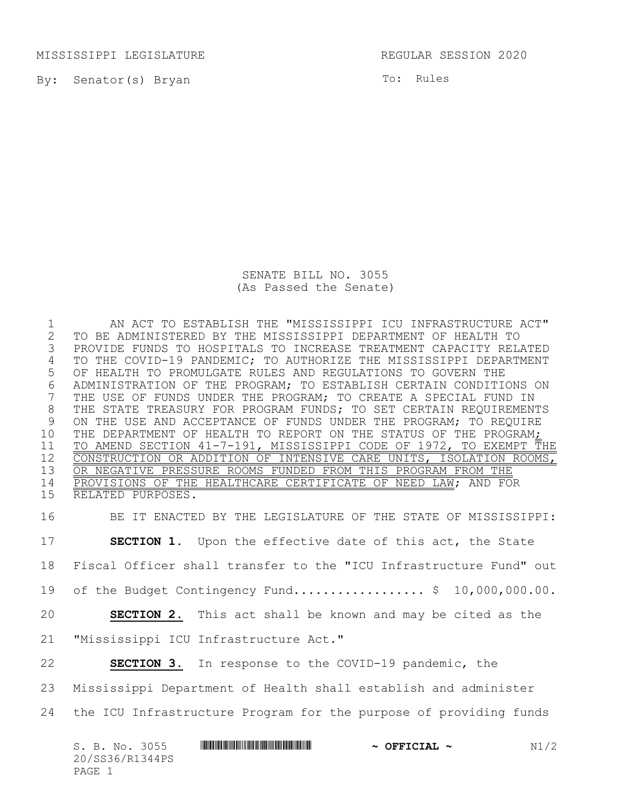MISSISSIPPI LEGISLATURE REGULAR SESSION 2020

By: Senator(s) Bryan

To: Rules

SENATE BILL NO. 3055 (As Passed the Senate)

1 AN ACT TO ESTABLISH THE "MISSISSIPPI ICU INFRASTRUCTURE ACT"<br>2 TO BE ADMINISTERED BY THE MISSISSIPPI DEPARTMENT OF HEALTH TO 2 TO BE ADMINISTERED BY THE MISSISSIPPI DEPARTMENT OF HEALTH TO PROVIDE FUNDS TO HOSPITALS TO INCREASE TREATMENT CAPACITY RELATED 4 TO THE COVID-19 PANDEMIC; TO AUTHORIZE THE MISSISSIPPI DEPARTMENT 5 OF HEALTH TO PROMULGATE RULES AND REGULATIONS TO GOVERN THE 6 ADMINISTRATION OF THE PROGRAM; TO ESTABLISH CERTAIN CONDITIONS ON<br>7 THE USE OF FUNDS UNDER THE PROGRAM; TO CREATE A SPECIAL FUND IN THE USE OF FUNDS UNDER THE PROGRAM; TO CREATE A SPECIAL FUND IN 8 THE STATE TREASURY FOR PROGRAM FUNDS; TO SET CERTAIN REQUIREMENTS 9 ON THE USE AND ACCEPTANCE OF FUNDS UNDER THE PROGRAM; TO REQUIRE 10 THE DEPARTMENT OF HEALTH TO REPORT ON THE STATUS OF THE PROGRAM; 11 TO AMEND SECTION 41-7-191, MISSISSIPPI CODE OF 1972, TO EXEMPT THE 12 CONSTRUCTION OR ADDITION OF INTENSIVE CARE UNITS, ISOLATION ROOMS, 13 OR NEGATIVE PRESSURE ROOMS FUNDED FROM THIS PROGRAM FROM THE 14 PROVISIONS OF THE HEALTHCARE CERTIFICATE OF NEED LAW; AND FOR 15 RELATED PURPOSES.

 BE IT ENACTED BY THE LEGISLATURE OF THE STATE OF MISSISSIPPI: **SECTION 1.** Upon the effective date of this act, the State Fiscal Officer shall transfer to the "ICU Infrastructure Fund" out 19 of the Budget Contingency Fund.......................... \$ 10,000,000.00. **SECTION 2.** This act shall be known and may be cited as the "Mississippi ICU Infrastructure Act." **SECTION 3.** In response to the COVID-19 pandemic, the Mississippi Department of Health shall establish and administer the ICU Infrastructure Program for the purpose of providing funds

| S. B. No. 3055  | $\sim$ OFFICIAL $\sim$ | N1/2 |
|-----------------|------------------------|------|
| 20/SS36/R1344PS |                        |      |
| PAGE 1          |                        |      |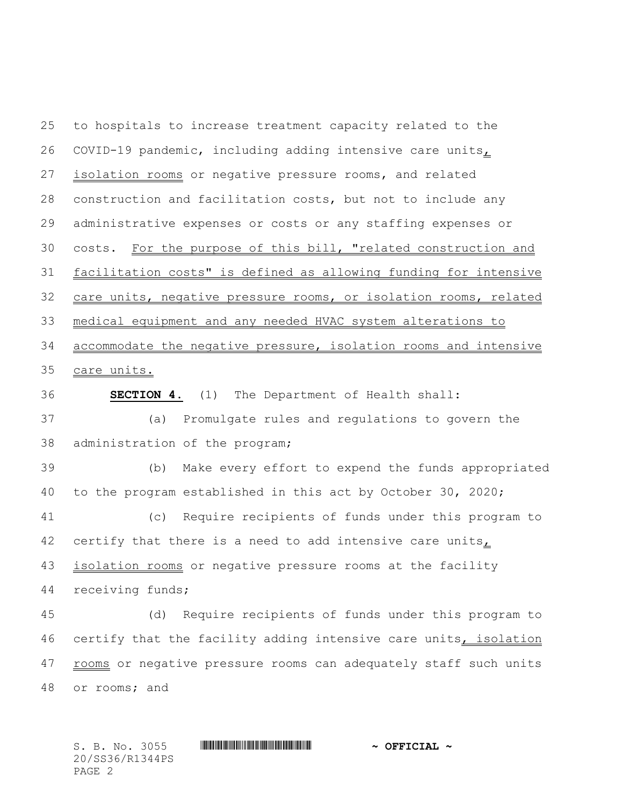to hospitals to increase treatment capacity related to the 26 COVID-19 pandemic, including adding intensive care units $<sub>L</sub>$ </sub> isolation rooms or negative pressure rooms, and related construction and facilitation costs, but not to include any administrative expenses or costs or any staffing expenses or costs. For the purpose of this bill, "related construction and facilitation costs" is defined as allowing funding for intensive care units, negative pressure rooms, or isolation rooms, related medical equipment and any needed HVAC system alterations to accommodate the negative pressure, isolation rooms and intensive care units. **SECTION 4.** (1) The Department of Health shall:

 (a) Promulgate rules and regulations to govern the administration of the program;

 (b) Make every effort to expend the funds appropriated to the program established in this act by October 30, 2020;

 (c) Require recipients of funds under this program to 42 certify that there is a need to add intensive care units, 43 isolation rooms or negative pressure rooms at the facility

receiving funds;

 (d) Require recipients of funds under this program to certify that the facility adding intensive care units, isolation 47 rooms or negative pressure rooms can adequately staff such units or rooms; and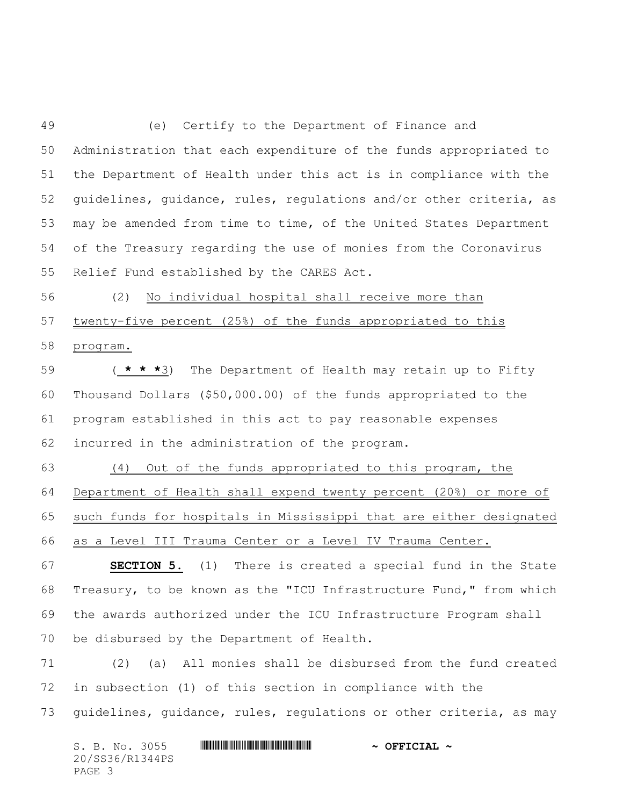(e) Certify to the Department of Finance and Administration that each expenditure of the funds appropriated to the Department of Health under this act is in compliance with the guidelines, guidance, rules, regulations and/or other criteria, as may be amended from time to time, of the United States Department of the Treasury regarding the use of monies from the Coronavirus Relief Fund established by the CARES Act.

 (2) No individual hospital shall receive more than 57 twenty-five percent (25%) of the funds appropriated to this program.

 ( **\* \* \***3) The Department of Health may retain up to Fifty Thousand Dollars (\$50,000.00) of the funds appropriated to the program established in this act to pay reasonable expenses incurred in the administration of the program.

 (4) Out of the funds appropriated to this program, the Department of Health shall expend twenty percent (20%) or more of such funds for hospitals in Mississippi that are either designated as a Level III Trauma Center or a Level IV Trauma Center.

 **SECTION 5.** (1) There is created a special fund in the State Treasury, to be known as the "ICU Infrastructure Fund," from which the awards authorized under the ICU Infrastructure Program shall be disbursed by the Department of Health.

 (2) (a) All monies shall be disbursed from the fund created in subsection (1) of this section in compliance with the guidelines, guidance, rules, regulations or other criteria, as may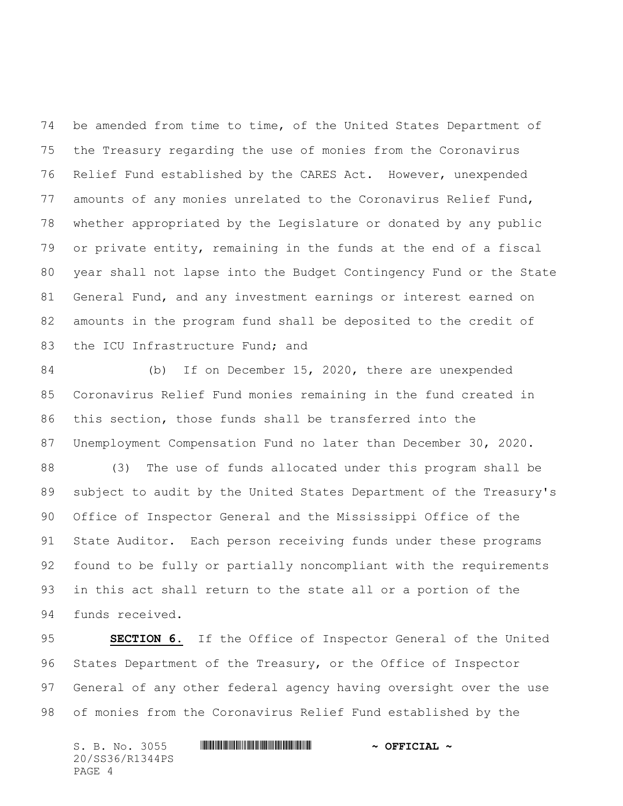be amended from time to time, of the United States Department of the Treasury regarding the use of monies from the Coronavirus Relief Fund established by the CARES Act. However, unexpended amounts of any monies unrelated to the Coronavirus Relief Fund, whether appropriated by the Legislature or donated by any public or private entity, remaining in the funds at the end of a fiscal year shall not lapse into the Budget Contingency Fund or the State General Fund, and any investment earnings or interest earned on amounts in the program fund shall be deposited to the credit of 83 the ICU Infrastructure Fund; and

 (b) If on December 15, 2020, there are unexpended Coronavirus Relief Fund monies remaining in the fund created in this section, those funds shall be transferred into the Unemployment Compensation Fund no later than December 30, 2020.

 (3) The use of funds allocated under this program shall be subject to audit by the United States Department of the Treasury's Office of Inspector General and the Mississippi Office of the State Auditor. Each person receiving funds under these programs found to be fully or partially noncompliant with the requirements in this act shall return to the state all or a portion of the funds received.

 **SECTION 6.** If the Office of Inspector General of the United States Department of the Treasury, or the Office of Inspector General of any other federal agency having oversight over the use of monies from the Coronavirus Relief Fund established by the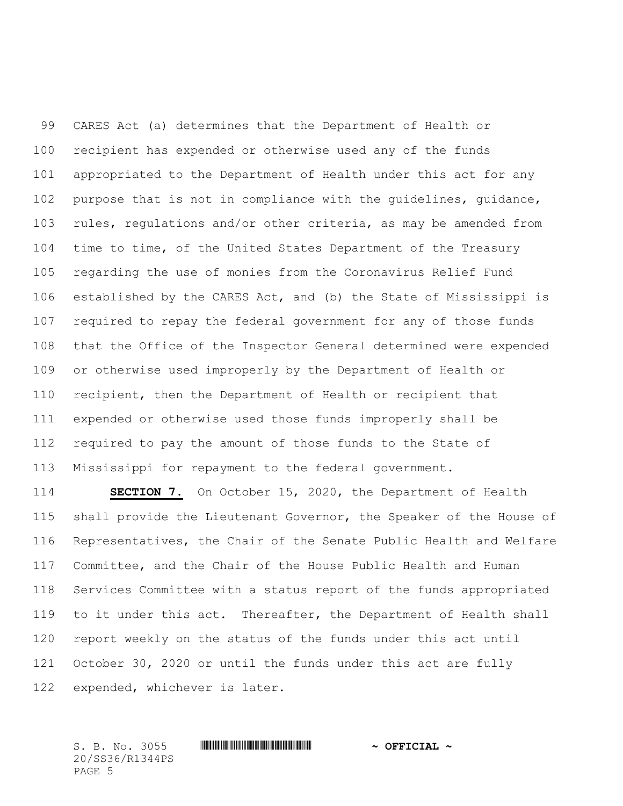CARES Act (a) determines that the Department of Health or recipient has expended or otherwise used any of the funds appropriated to the Department of Health under this act for any purpose that is not in compliance with the guidelines, guidance, rules, regulations and/or other criteria, as may be amended from time to time, of the United States Department of the Treasury regarding the use of monies from the Coronavirus Relief Fund established by the CARES Act, and (b) the State of Mississippi is required to repay the federal government for any of those funds that the Office of the Inspector General determined were expended or otherwise used improperly by the Department of Health or recipient, then the Department of Health or recipient that expended or otherwise used those funds improperly shall be required to pay the amount of those funds to the State of Mississippi for repayment to the federal government.

 **SECTION 7.** On October 15, 2020, the Department of Health shall provide the Lieutenant Governor, the Speaker of the House of Representatives, the Chair of the Senate Public Health and Welfare Committee, and the Chair of the House Public Health and Human Services Committee with a status report of the funds appropriated 119 to it under this act. Thereafter, the Department of Health shall report weekly on the status of the funds under this act until October 30, 2020 or until the funds under this act are fully expended, whichever is later.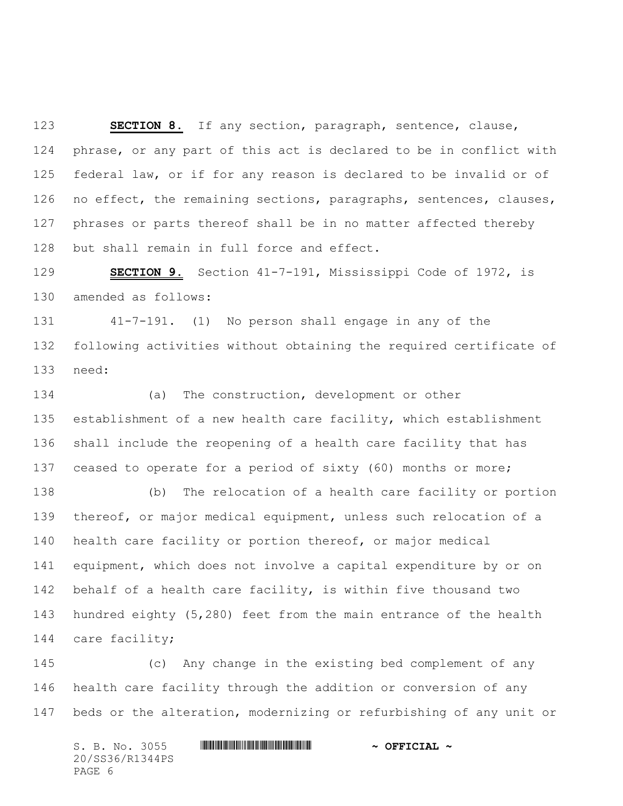**SECTION 8.** If any section, paragraph, sentence, clause, phrase, or any part of this act is declared to be in conflict with federal law, or if for any reason is declared to be invalid or of 126 no effect, the remaining sections, paragraphs, sentences, clauses, phrases or parts thereof shall be in no matter affected thereby but shall remain in full force and effect.

 **SECTION 9.** Section 41-7-191, Mississippi Code of 1972, is amended as follows:

 41-7-191. (1) No person shall engage in any of the following activities without obtaining the required certificate of need:

 (a) The construction, development or other establishment of a new health care facility, which establishment shall include the reopening of a health care facility that has ceased to operate for a period of sixty (60) months or more;

 (b) The relocation of a health care facility or portion thereof, or major medical equipment, unless such relocation of a health care facility or portion thereof, or major medical equipment, which does not involve a capital expenditure by or on behalf of a health care facility, is within five thousand two hundred eighty (5,280) feet from the main entrance of the health care facility;

 (c) Any change in the existing bed complement of any health care facility through the addition or conversion of any beds or the alteration, modernizing or refurbishing of any unit or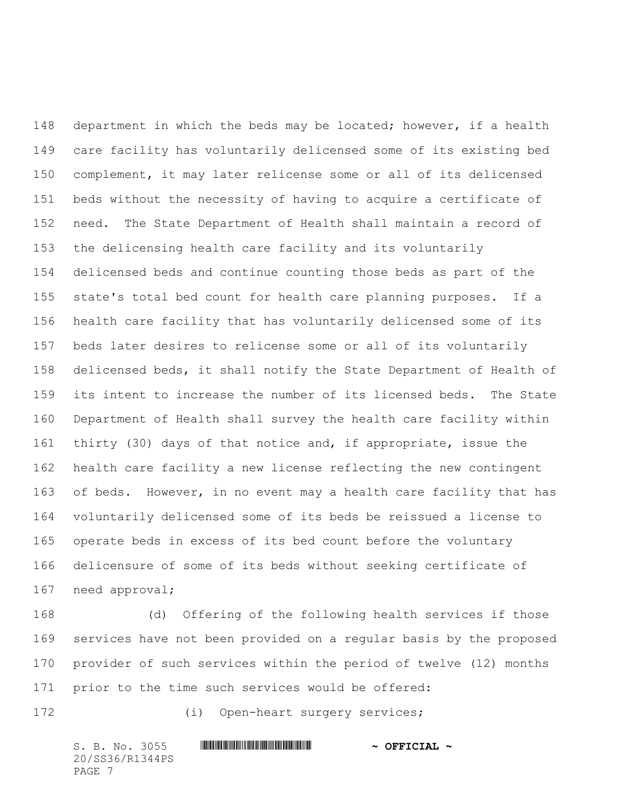department in which the beds may be located; however, if a health care facility has voluntarily delicensed some of its existing bed complement, it may later relicense some or all of its delicensed beds without the necessity of having to acquire a certificate of need. The State Department of Health shall maintain a record of the delicensing health care facility and its voluntarily delicensed beds and continue counting those beds as part of the state's total bed count for health care planning purposes. If a health care facility that has voluntarily delicensed some of its beds later desires to relicense some or all of its voluntarily delicensed beds, it shall notify the State Department of Health of its intent to increase the number of its licensed beds. The State Department of Health shall survey the health care facility within thirty (30) days of that notice and, if appropriate, issue the health care facility a new license reflecting the new contingent 163 of beds. However, in no event may a health care facility that has voluntarily delicensed some of its beds be reissued a license to operate beds in excess of its bed count before the voluntary delicensure of some of its beds without seeking certificate of need approval;

 (d) Offering of the following health services if those services have not been provided on a regular basis by the proposed provider of such services within the period of twelve (12) months prior to the time such services would be offered:

(i) Open-heart surgery services;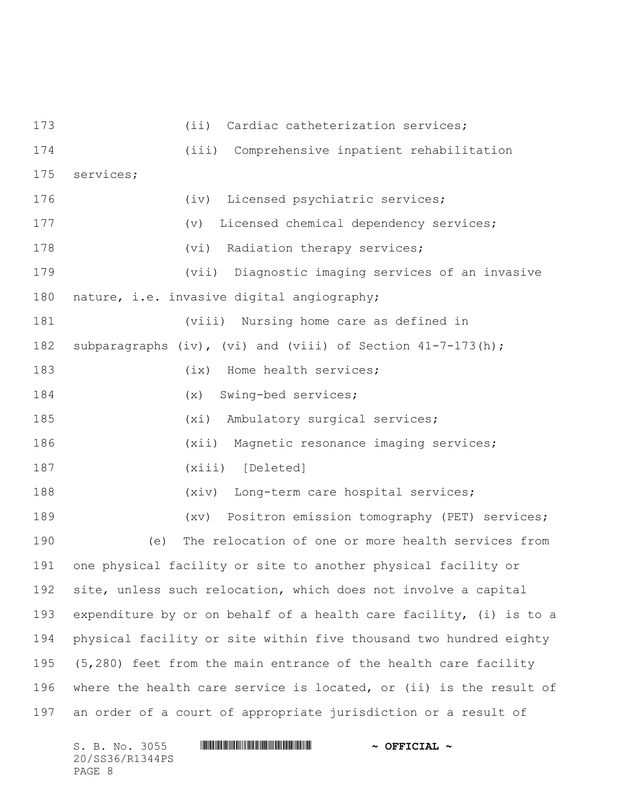173 (ii) Cardiac catheterization services; (iii) Comprehensive inpatient rehabilitation services; (iv) Licensed psychiatric services; (v) Licensed chemical dependency services; 178 (vi) Radiation therapy services; (vii) Diagnostic imaging services of an invasive nature, i.e. invasive digital angiography; (viii) Nursing home care as defined in subparagraphs (iv), (vi) and (viii) of Section 41-7-173(h); 183 (ix) Home health services; (x) Swing-bed services; (xi) Ambulatory surgical services; (xii) Magnetic resonance imaging services; (xiii) [Deleted] (xiv) Long-term care hospital services; (xv) Positron emission tomography (PET) services; (e) The relocation of one or more health services from one physical facility or site to another physical facility or site, unless such relocation, which does not involve a capital expenditure by or on behalf of a health care facility, (i) is to a physical facility or site within five thousand two hundred eighty (5,280) feet from the main entrance of the health care facility where the health care service is located, or (ii) is the result of an order of a court of appropriate jurisdiction or a result of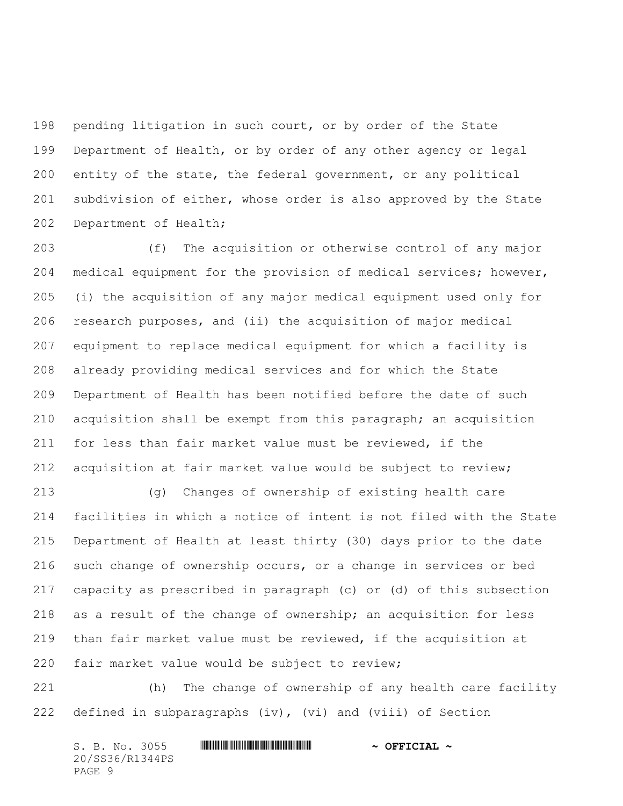pending litigation in such court, or by order of the State Department of Health, or by order of any other agency or legal entity of the state, the federal government, or any political subdivision of either, whose order is also approved by the State Department of Health;

 (f) The acquisition or otherwise control of any major medical equipment for the provision of medical services; however, (i) the acquisition of any major medical equipment used only for research purposes, and (ii) the acquisition of major medical equipment to replace medical equipment for which a facility is already providing medical services and for which the State Department of Health has been notified before the date of such acquisition shall be exempt from this paragraph; an acquisition for less than fair market value must be reviewed, if the acquisition at fair market value would be subject to review;

 (g) Changes of ownership of existing health care facilities in which a notice of intent is not filed with the State Department of Health at least thirty (30) days prior to the date such change of ownership occurs, or a change in services or bed capacity as prescribed in paragraph (c) or (d) of this subsection as a result of the change of ownership; an acquisition for less than fair market value must be reviewed, if the acquisition at fair market value would be subject to review;

 (h) The change of ownership of any health care facility defined in subparagraphs (iv), (vi) and (viii) of Section

| S. B. No. 3055  |  | $\sim$ OFFICIAL $\sim$ |
|-----------------|--|------------------------|
| 20/SS36/R1344PS |  |                        |
| PAGE 9          |  |                        |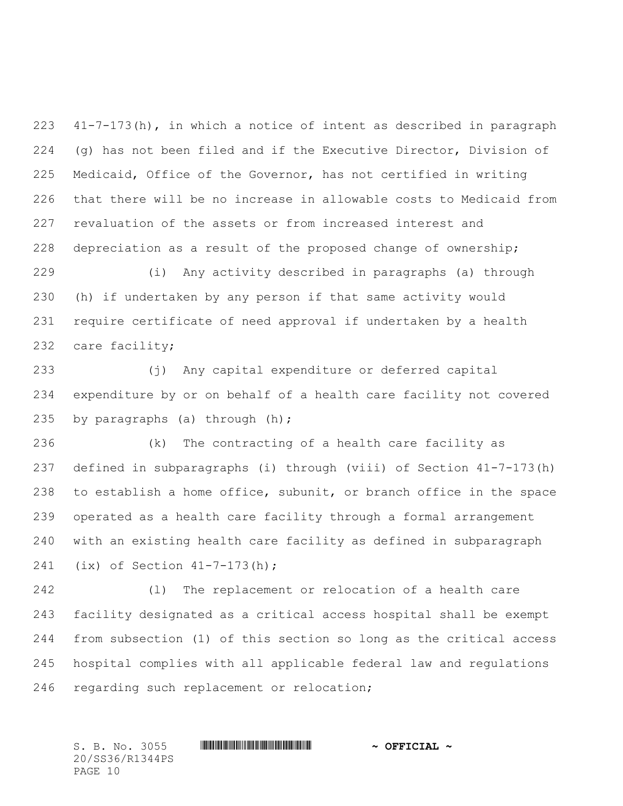41-7-173(h), in which a notice of intent as described in paragraph (g) has not been filed and if the Executive Director, Division of Medicaid, Office of the Governor, has not certified in writing that there will be no increase in allowable costs to Medicaid from revaluation of the assets or from increased interest and depreciation as a result of the proposed change of ownership;

 (i) Any activity described in paragraphs (a) through (h) if undertaken by any person if that same activity would require certificate of need approval if undertaken by a health care facility;

 (j) Any capital expenditure or deferred capital expenditure by or on behalf of a health care facility not covered by paragraphs (a) through (h);

 (k) The contracting of a health care facility as defined in subparagraphs (i) through (viii) of Section 41-7-173(h) to establish a home office, subunit, or branch office in the space operated as a health care facility through a formal arrangement with an existing health care facility as defined in subparagraph (ix) of Section 41-7-173(h);

 (l) The replacement or relocation of a health care facility designated as a critical access hospital shall be exempt from subsection (1) of this section so long as the critical access hospital complies with all applicable federal law and regulations regarding such replacement or relocation;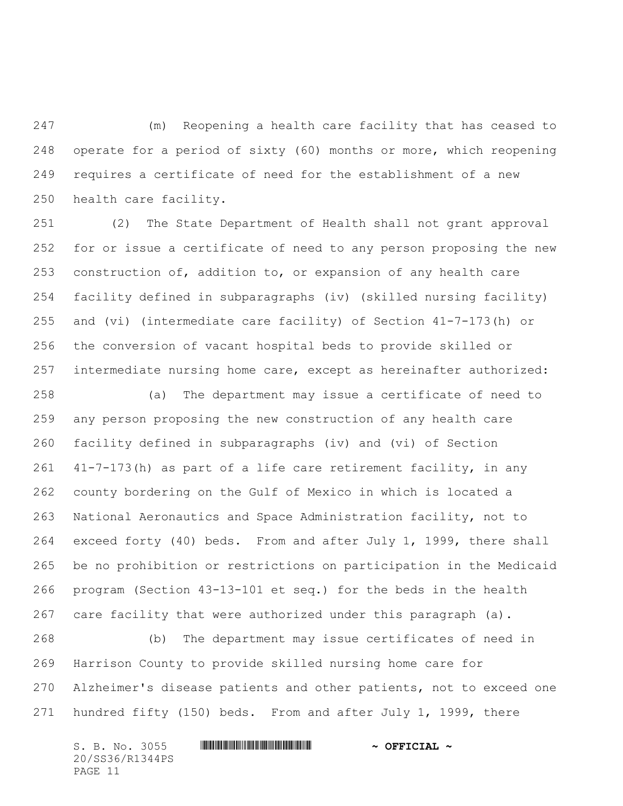(m) Reopening a health care facility that has ceased to operate for a period of sixty (60) months or more, which reopening requires a certificate of need for the establishment of a new health care facility.

 (2) The State Department of Health shall not grant approval for or issue a certificate of need to any person proposing the new construction of, addition to, or expansion of any health care facility defined in subparagraphs (iv) (skilled nursing facility) and (vi) (intermediate care facility) of Section 41-7-173(h) or the conversion of vacant hospital beds to provide skilled or intermediate nursing home care, except as hereinafter authorized:

 (a) The department may issue a certificate of need to any person proposing the new construction of any health care facility defined in subparagraphs (iv) and (vi) of Section 41-7-173(h) as part of a life care retirement facility, in any county bordering on the Gulf of Mexico in which is located a National Aeronautics and Space Administration facility, not to exceed forty (40) beds. From and after July 1, 1999, there shall be no prohibition or restrictions on participation in the Medicaid program (Section 43-13-101 et seq.) for the beds in the health care facility that were authorized under this paragraph (a).

 (b) The department may issue certificates of need in Harrison County to provide skilled nursing home care for Alzheimer's disease patients and other patients, not to exceed one hundred fifty (150) beds. From and after July 1, 1999, there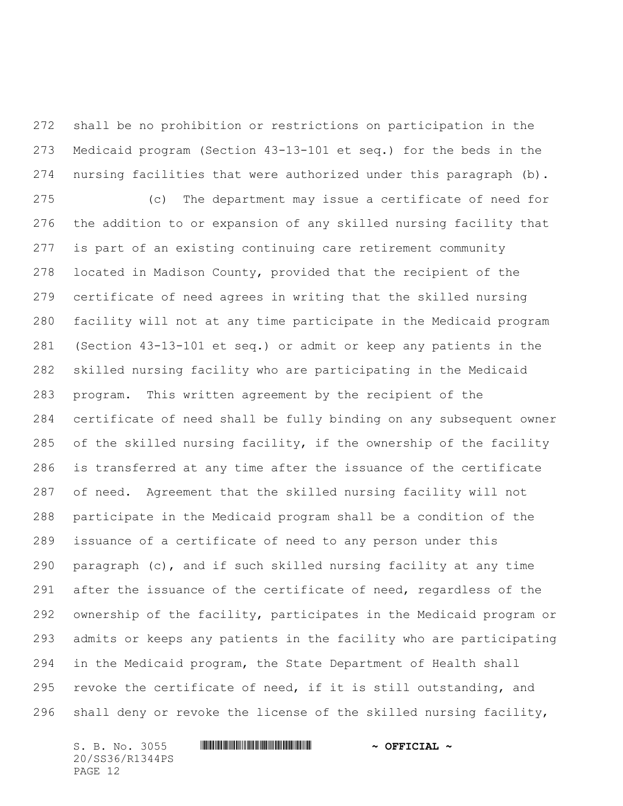shall be no prohibition or restrictions on participation in the Medicaid program (Section 43-13-101 et seq.) for the beds in the 274 nursing facilities that were authorized under this paragraph (b).

 (c) The department may issue a certificate of need for the addition to or expansion of any skilled nursing facility that is part of an existing continuing care retirement community located in Madison County, provided that the recipient of the certificate of need agrees in writing that the skilled nursing facility will not at any time participate in the Medicaid program (Section 43-13-101 et seq.) or admit or keep any patients in the skilled nursing facility who are participating in the Medicaid program. This written agreement by the recipient of the certificate of need shall be fully binding on any subsequent owner of the skilled nursing facility, if the ownership of the facility is transferred at any time after the issuance of the certificate of need. Agreement that the skilled nursing facility will not participate in the Medicaid program shall be a condition of the issuance of a certificate of need to any person under this paragraph (c), and if such skilled nursing facility at any time 291 after the issuance of the certificate of need, regardless of the ownership of the facility, participates in the Medicaid program or admits or keeps any patients in the facility who are participating in the Medicaid program, the State Department of Health shall 295 revoke the certificate of need, if it is still outstanding, and shall deny or revoke the license of the skilled nursing facility,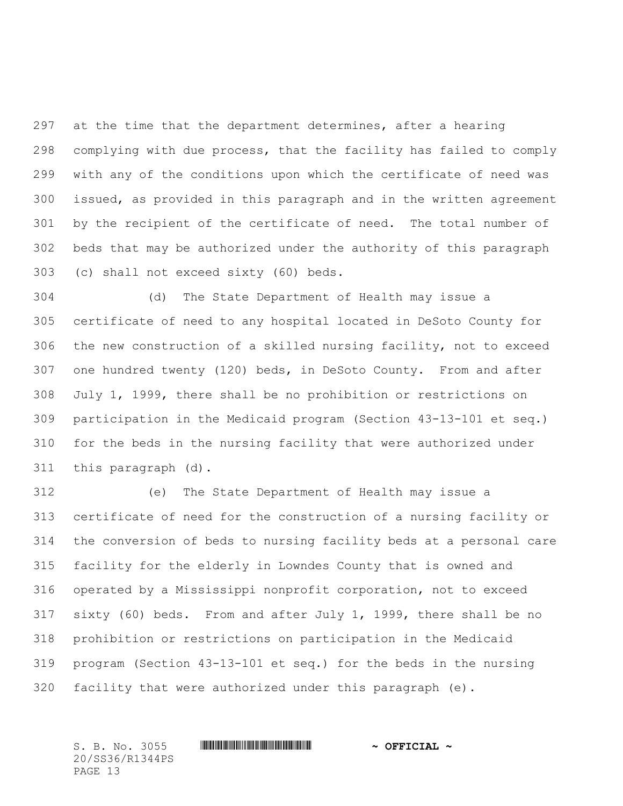at the time that the department determines, after a hearing complying with due process, that the facility has failed to comply with any of the conditions upon which the certificate of need was issued, as provided in this paragraph and in the written agreement by the recipient of the certificate of need. The total number of beds that may be authorized under the authority of this paragraph (c) shall not exceed sixty (60) beds.

 (d) The State Department of Health may issue a certificate of need to any hospital located in DeSoto County for the new construction of a skilled nursing facility, not to exceed one hundred twenty (120) beds, in DeSoto County. From and after July 1, 1999, there shall be no prohibition or restrictions on participation in the Medicaid program (Section 43-13-101 et seq.) for the beds in the nursing facility that were authorized under this paragraph (d).

 (e) The State Department of Health may issue a certificate of need for the construction of a nursing facility or the conversion of beds to nursing facility beds at a personal care facility for the elderly in Lowndes County that is owned and operated by a Mississippi nonprofit corporation, not to exceed sixty (60) beds. From and after July 1, 1999, there shall be no prohibition or restrictions on participation in the Medicaid program (Section 43-13-101 et seq.) for the beds in the nursing facility that were authorized under this paragraph (e).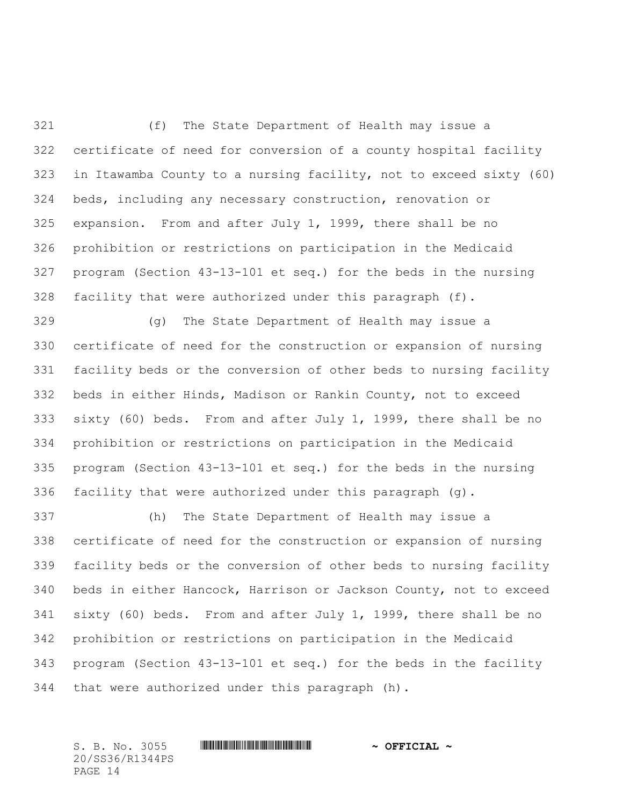(f) The State Department of Health may issue a certificate of need for conversion of a county hospital facility in Itawamba County to a nursing facility, not to exceed sixty (60) beds, including any necessary construction, renovation or expansion. From and after July 1, 1999, there shall be no prohibition or restrictions on participation in the Medicaid program (Section 43-13-101 et seq.) for the beds in the nursing facility that were authorized under this paragraph (f).

 (g) The State Department of Health may issue a certificate of need for the construction or expansion of nursing facility beds or the conversion of other beds to nursing facility beds in either Hinds, Madison or Rankin County, not to exceed sixty (60) beds. From and after July 1, 1999, there shall be no prohibition or restrictions on participation in the Medicaid program (Section 43-13-101 et seq.) for the beds in the nursing facility that were authorized under this paragraph (g).

 (h) The State Department of Health may issue a certificate of need for the construction or expansion of nursing facility beds or the conversion of other beds to nursing facility beds in either Hancock, Harrison or Jackson County, not to exceed sixty (60) beds. From and after July 1, 1999, there shall be no prohibition or restrictions on participation in the Medicaid program (Section 43-13-101 et seq.) for the beds in the facility that were authorized under this paragraph (h).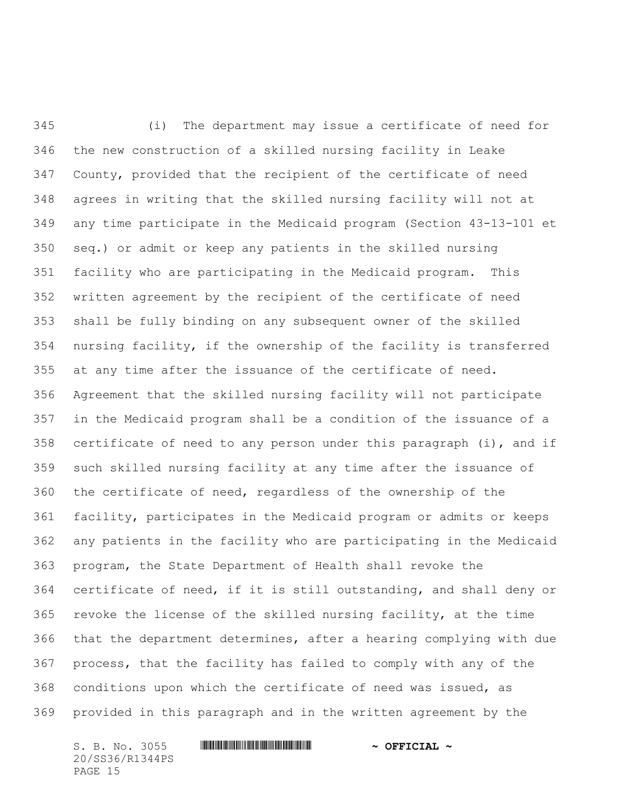(i) The department may issue a certificate of need for the new construction of a skilled nursing facility in Leake County, provided that the recipient of the certificate of need agrees in writing that the skilled nursing facility will not at any time participate in the Medicaid program (Section 43-13-101 et seq.) or admit or keep any patients in the skilled nursing facility who are participating in the Medicaid program. This written agreement by the recipient of the certificate of need shall be fully binding on any subsequent owner of the skilled nursing facility, if the ownership of the facility is transferred at any time after the issuance of the certificate of need. Agreement that the skilled nursing facility will not participate in the Medicaid program shall be a condition of the issuance of a certificate of need to any person under this paragraph (i), and if such skilled nursing facility at any time after the issuance of the certificate of need, regardless of the ownership of the facility, participates in the Medicaid program or admits or keeps any patients in the facility who are participating in the Medicaid program, the State Department of Health shall revoke the certificate of need, if it is still outstanding, and shall deny or revoke the license of the skilled nursing facility, at the time that the department determines, after a hearing complying with due process, that the facility has failed to comply with any of the conditions upon which the certificate of need was issued, as provided in this paragraph and in the written agreement by the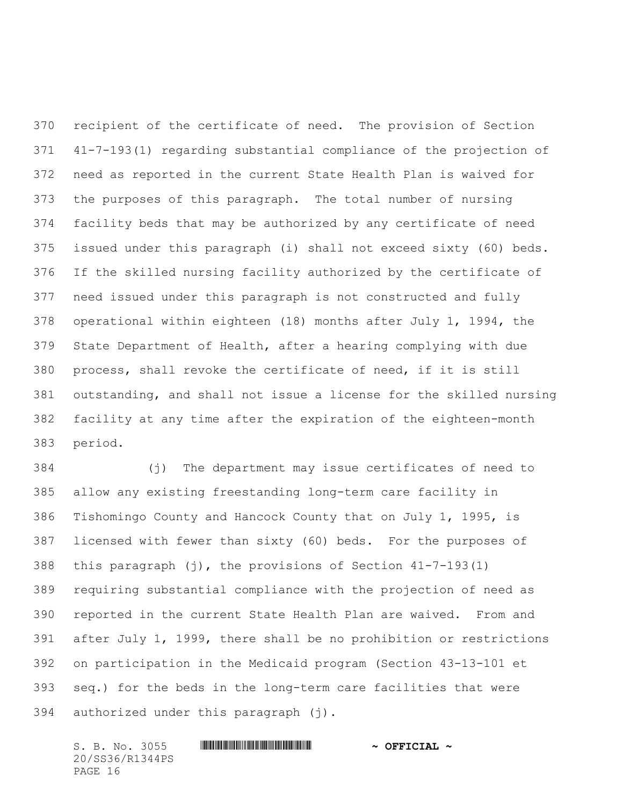recipient of the certificate of need. The provision of Section 41-7-193(1) regarding substantial compliance of the projection of need as reported in the current State Health Plan is waived for the purposes of this paragraph. The total number of nursing facility beds that may be authorized by any certificate of need issued under this paragraph (i) shall not exceed sixty (60) beds. If the skilled nursing facility authorized by the certificate of need issued under this paragraph is not constructed and fully operational within eighteen (18) months after July 1, 1994, the State Department of Health, after a hearing complying with due process, shall revoke the certificate of need, if it is still outstanding, and shall not issue a license for the skilled nursing facility at any time after the expiration of the eighteen-month period.

 (j) The department may issue certificates of need to allow any existing freestanding long-term care facility in Tishomingo County and Hancock County that on July 1, 1995, is licensed with fewer than sixty (60) beds. For the purposes of this paragraph (j), the provisions of Section 41-7-193(1) requiring substantial compliance with the projection of need as reported in the current State Health Plan are waived. From and after July 1, 1999, there shall be no prohibition or restrictions on participation in the Medicaid program (Section 43-13-101 et seq.) for the beds in the long-term care facilities that were authorized under this paragraph (j).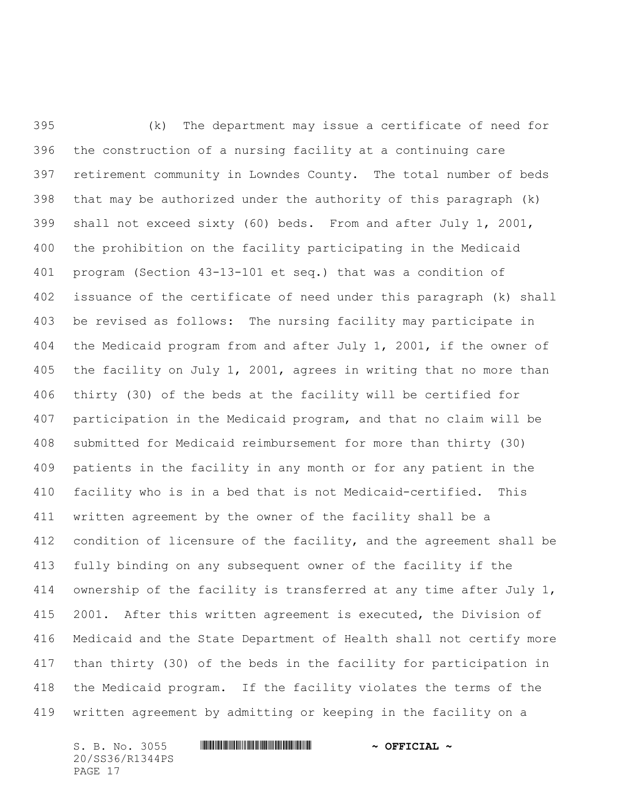(k) The department may issue a certificate of need for the construction of a nursing facility at a continuing care retirement community in Lowndes County. The total number of beds that may be authorized under the authority of this paragraph (k) shall not exceed sixty (60) beds. From and after July 1, 2001, the prohibition on the facility participating in the Medicaid program (Section 43-13-101 et seq.) that was a condition of issuance of the certificate of need under this paragraph (k) shall be revised as follows: The nursing facility may participate in the Medicaid program from and after July 1, 2001, if the owner of the facility on July 1, 2001, agrees in writing that no more than thirty (30) of the beds at the facility will be certified for participation in the Medicaid program, and that no claim will be submitted for Medicaid reimbursement for more than thirty (30) patients in the facility in any month or for any patient in the facility who is in a bed that is not Medicaid-certified. This written agreement by the owner of the facility shall be a condition of licensure of the facility, and the agreement shall be fully binding on any subsequent owner of the facility if the ownership of the facility is transferred at any time after July 1, 2001. After this written agreement is executed, the Division of Medicaid and the State Department of Health shall not certify more than thirty (30) of the beds in the facility for participation in the Medicaid program. If the facility violates the terms of the written agreement by admitting or keeping in the facility on a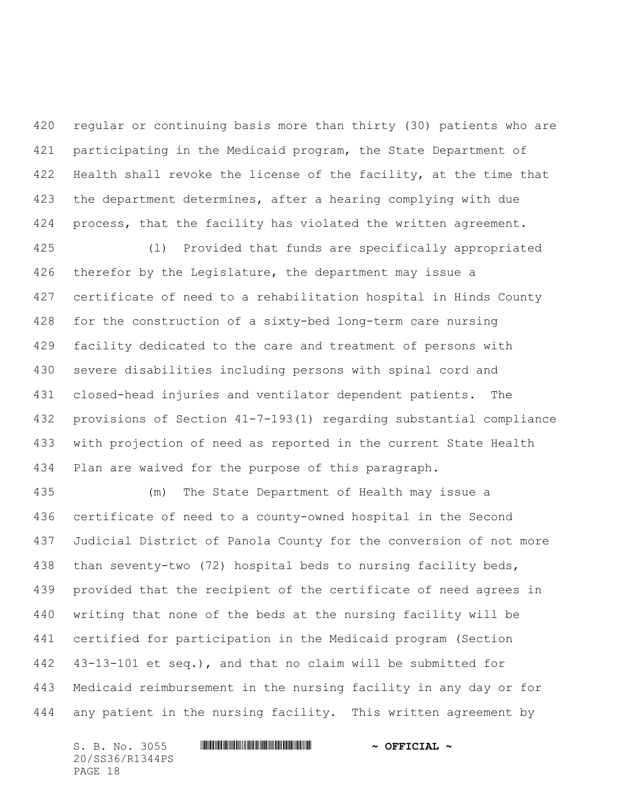regular or continuing basis more than thirty (30) patients who are participating in the Medicaid program, the State Department of Health shall revoke the license of the facility, at the time that the department determines, after a hearing complying with due process, that the facility has violated the written agreement.

 (l) Provided that funds are specifically appropriated 426 therefor by the Legislature, the department may issue a certificate of need to a rehabilitation hospital in Hinds County for the construction of a sixty-bed long-term care nursing facility dedicated to the care and treatment of persons with severe disabilities including persons with spinal cord and closed-head injuries and ventilator dependent patients. The provisions of Section 41-7-193(1) regarding substantial compliance with projection of need as reported in the current State Health Plan are waived for the purpose of this paragraph.

 (m) The State Department of Health may issue a certificate of need to a county-owned hospital in the Second Judicial District of Panola County for the conversion of not more than seventy-two (72) hospital beds to nursing facility beds, provided that the recipient of the certificate of need agrees in writing that none of the beds at the nursing facility will be certified for participation in the Medicaid program (Section 43-13-101 et seq.), and that no claim will be submitted for Medicaid reimbursement in the nursing facility in any day or for any patient in the nursing facility. This written agreement by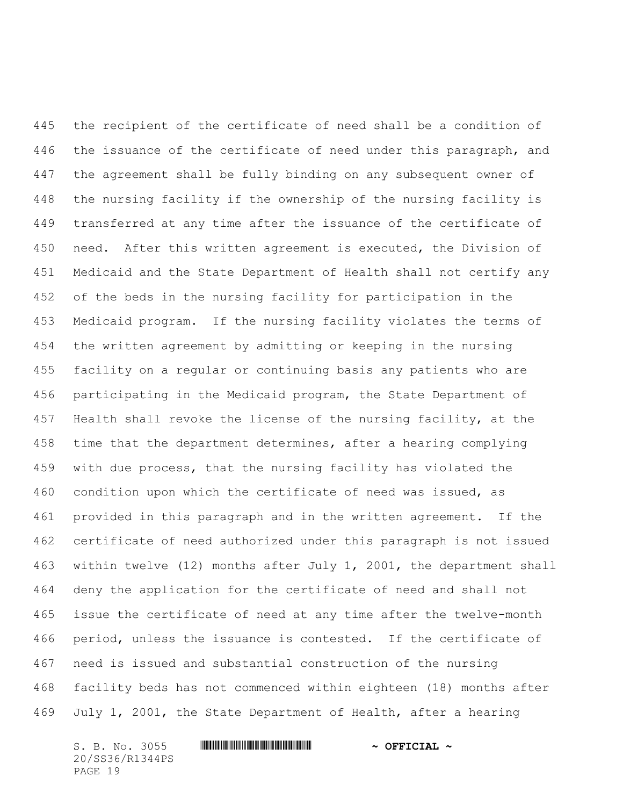the recipient of the certificate of need shall be a condition of the issuance of the certificate of need under this paragraph, and the agreement shall be fully binding on any subsequent owner of the nursing facility if the ownership of the nursing facility is transferred at any time after the issuance of the certificate of need. After this written agreement is executed, the Division of Medicaid and the State Department of Health shall not certify any of the beds in the nursing facility for participation in the Medicaid program. If the nursing facility violates the terms of the written agreement by admitting or keeping in the nursing facility on a regular or continuing basis any patients who are participating in the Medicaid program, the State Department of Health shall revoke the license of the nursing facility, at the time that the department determines, after a hearing complying with due process, that the nursing facility has violated the condition upon which the certificate of need was issued, as provided in this paragraph and in the written agreement. If the certificate of need authorized under this paragraph is not issued within twelve (12) months after July 1, 2001, the department shall deny the application for the certificate of need and shall not issue the certificate of need at any time after the twelve-month period, unless the issuance is contested. If the certificate of need is issued and substantial construction of the nursing facility beds has not commenced within eighteen (18) months after July 1, 2001, the State Department of Health, after a hearing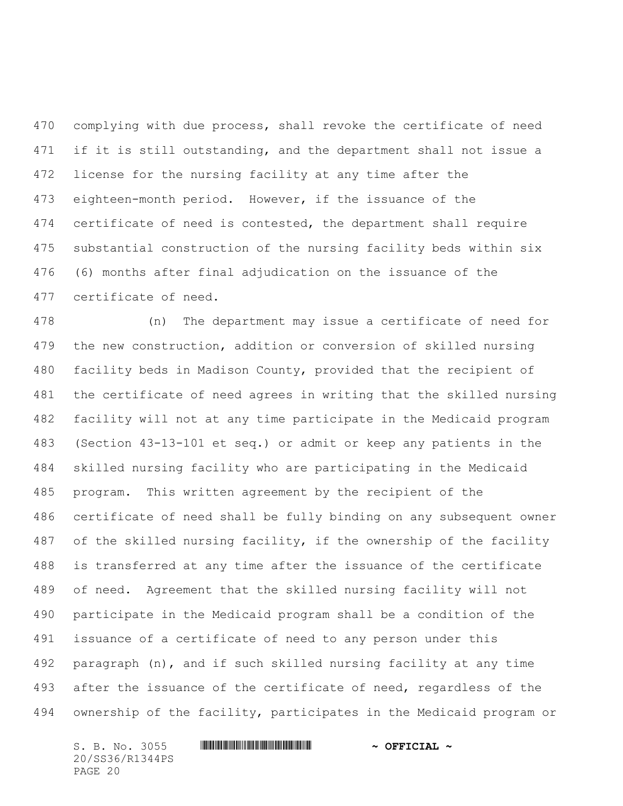complying with due process, shall revoke the certificate of need 471 if it is still outstanding, and the department shall not issue a license for the nursing facility at any time after the eighteen-month period. However, if the issuance of the certificate of need is contested, the department shall require substantial construction of the nursing facility beds within six (6) months after final adjudication on the issuance of the certificate of need.

 (n) The department may issue a certificate of need for the new construction, addition or conversion of skilled nursing facility beds in Madison County, provided that the recipient of the certificate of need agrees in writing that the skilled nursing facility will not at any time participate in the Medicaid program (Section 43-13-101 et seq.) or admit or keep any patients in the skilled nursing facility who are participating in the Medicaid program. This written agreement by the recipient of the certificate of need shall be fully binding on any subsequent owner of the skilled nursing facility, if the ownership of the facility is transferred at any time after the issuance of the certificate of need. Agreement that the skilled nursing facility will not participate in the Medicaid program shall be a condition of the issuance of a certificate of need to any person under this paragraph (n), and if such skilled nursing facility at any time 493 after the issuance of the certificate of need, regardless of the ownership of the facility, participates in the Medicaid program or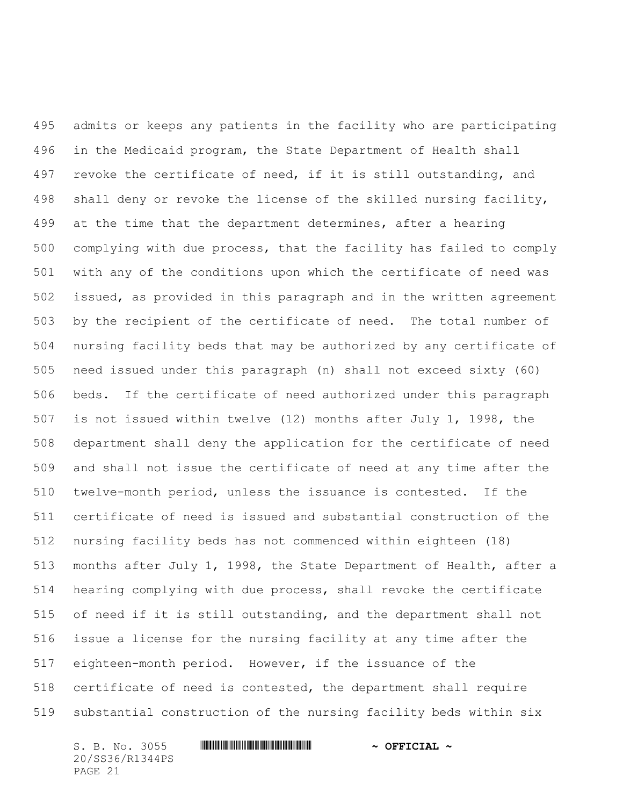admits or keeps any patients in the facility who are participating in the Medicaid program, the State Department of Health shall 497 revoke the certificate of need, if it is still outstanding, and shall deny or revoke the license of the skilled nursing facility, at the time that the department determines, after a hearing complying with due process, that the facility has failed to comply with any of the conditions upon which the certificate of need was issued, as provided in this paragraph and in the written agreement by the recipient of the certificate of need. The total number of nursing facility beds that may be authorized by any certificate of need issued under this paragraph (n) shall not exceed sixty (60) beds. If the certificate of need authorized under this paragraph is not issued within twelve (12) months after July 1, 1998, the department shall deny the application for the certificate of need and shall not issue the certificate of need at any time after the twelve-month period, unless the issuance is contested. If the certificate of need is issued and substantial construction of the nursing facility beds has not commenced within eighteen (18) months after July 1, 1998, the State Department of Health, after a hearing complying with due process, shall revoke the certificate of need if it is still outstanding, and the department shall not issue a license for the nursing facility at any time after the eighteen-month period. However, if the issuance of the certificate of need is contested, the department shall require substantial construction of the nursing facility beds within six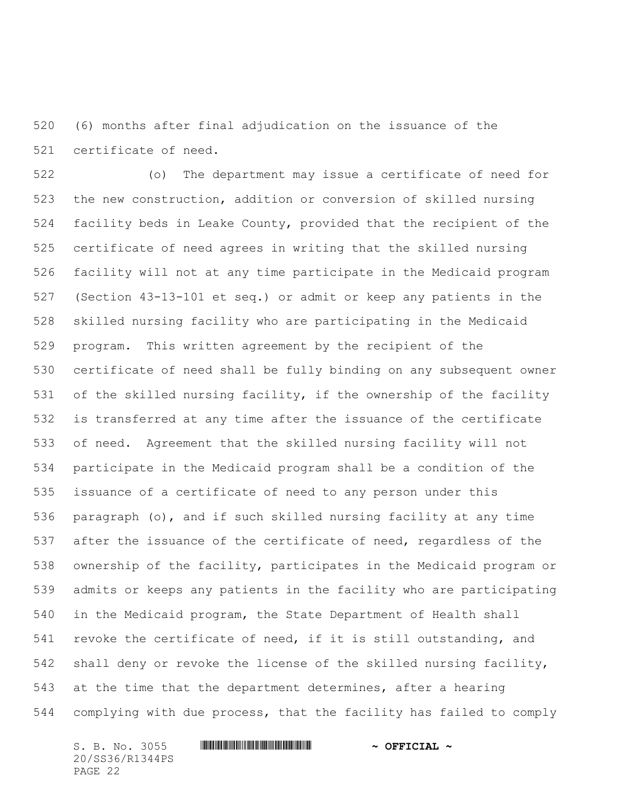(6) months after final adjudication on the issuance of the certificate of need.

 (o) The department may issue a certificate of need for the new construction, addition or conversion of skilled nursing facility beds in Leake County, provided that the recipient of the certificate of need agrees in writing that the skilled nursing facility will not at any time participate in the Medicaid program (Section 43-13-101 et seq.) or admit or keep any patients in the skilled nursing facility who are participating in the Medicaid program. This written agreement by the recipient of the certificate of need shall be fully binding on any subsequent owner of the skilled nursing facility, if the ownership of the facility is transferred at any time after the issuance of the certificate of need. Agreement that the skilled nursing facility will not participate in the Medicaid program shall be a condition of the issuance of a certificate of need to any person under this paragraph (o), and if such skilled nursing facility at any time after the issuance of the certificate of need, regardless of the ownership of the facility, participates in the Medicaid program or admits or keeps any patients in the facility who are participating in the Medicaid program, the State Department of Health shall revoke the certificate of need, if it is still outstanding, and shall deny or revoke the license of the skilled nursing facility, at the time that the department determines, after a hearing complying with due process, that the facility has failed to comply

20/SS36/R1344PS PAGE 22

S. B. No. 3055 \*SS36/R1344PS\* **~ OFFICIAL ~**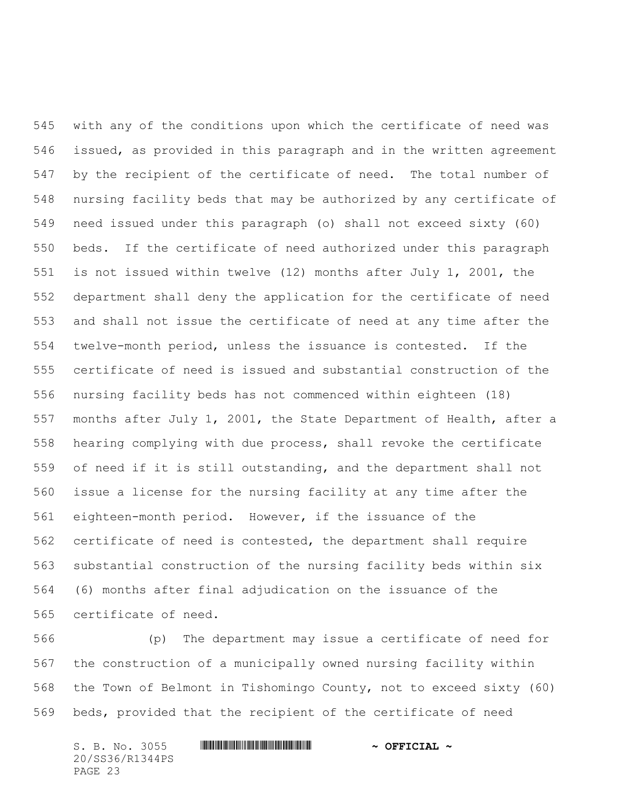with any of the conditions upon which the certificate of need was issued, as provided in this paragraph and in the written agreement by the recipient of the certificate of need. The total number of nursing facility beds that may be authorized by any certificate of need issued under this paragraph (o) shall not exceed sixty (60) beds. If the certificate of need authorized under this paragraph is not issued within twelve (12) months after July 1, 2001, the department shall deny the application for the certificate of need and shall not issue the certificate of need at any time after the twelve-month period, unless the issuance is contested. If the certificate of need is issued and substantial construction of the nursing facility beds has not commenced within eighteen (18) months after July 1, 2001, the State Department of Health, after a hearing complying with due process, shall revoke the certificate of need if it is still outstanding, and the department shall not issue a license for the nursing facility at any time after the eighteen-month period. However, if the issuance of the certificate of need is contested, the department shall require substantial construction of the nursing facility beds within six (6) months after final adjudication on the issuance of the certificate of need.

 (p) The department may issue a certificate of need for the construction of a municipally owned nursing facility within the Town of Belmont in Tishomingo County, not to exceed sixty (60) beds, provided that the recipient of the certificate of need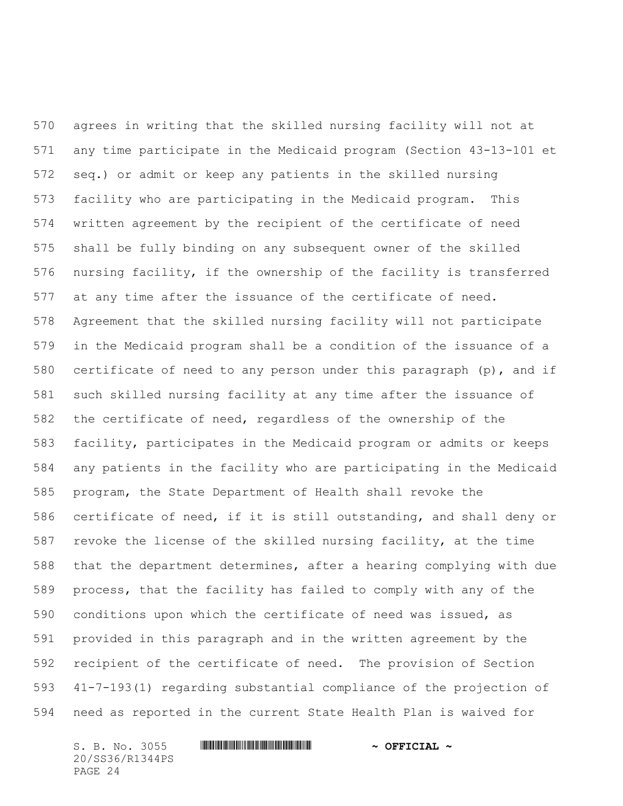agrees in writing that the skilled nursing facility will not at any time participate in the Medicaid program (Section 43-13-101 et seq.) or admit or keep any patients in the skilled nursing facility who are participating in the Medicaid program. This written agreement by the recipient of the certificate of need shall be fully binding on any subsequent owner of the skilled nursing facility, if the ownership of the facility is transferred at any time after the issuance of the certificate of need. Agreement that the skilled nursing facility will not participate in the Medicaid program shall be a condition of the issuance of a certificate of need to any person under this paragraph (p), and if such skilled nursing facility at any time after the issuance of the certificate of need, regardless of the ownership of the facility, participates in the Medicaid program or admits or keeps any patients in the facility who are participating in the Medicaid program, the State Department of Health shall revoke the certificate of need, if it is still outstanding, and shall deny or revoke the license of the skilled nursing facility, at the time that the department determines, after a hearing complying with due process, that the facility has failed to comply with any of the conditions upon which the certificate of need was issued, as provided in this paragraph and in the written agreement by the recipient of the certificate of need. The provision of Section 41-7-193(1) regarding substantial compliance of the projection of need as reported in the current State Health Plan is waived for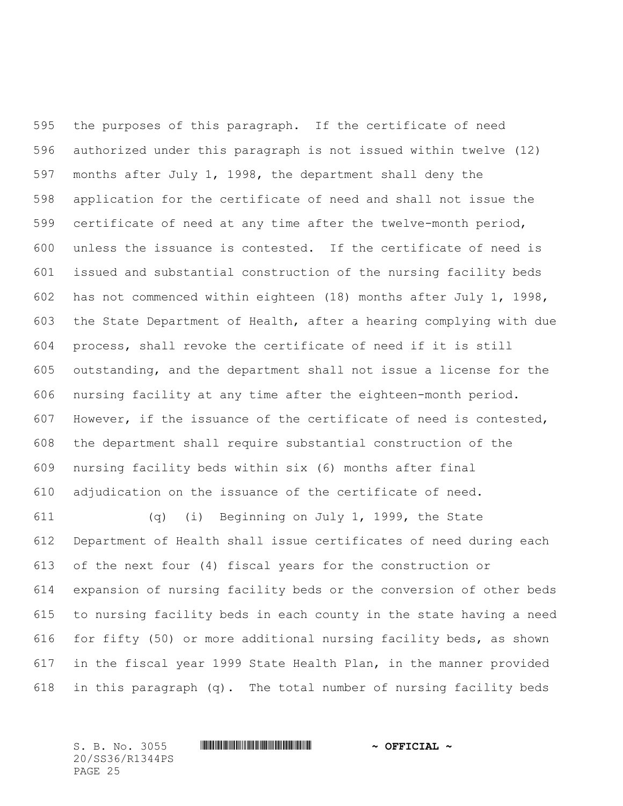the purposes of this paragraph. If the certificate of need authorized under this paragraph is not issued within twelve (12) months after July 1, 1998, the department shall deny the application for the certificate of need and shall not issue the certificate of need at any time after the twelve-month period, unless the issuance is contested. If the certificate of need is issued and substantial construction of the nursing facility beds has not commenced within eighteen (18) months after July 1, 1998, the State Department of Health, after a hearing complying with due process, shall revoke the certificate of need if it is still outstanding, and the department shall not issue a license for the nursing facility at any time after the eighteen-month period. However, if the issuance of the certificate of need is contested, the department shall require substantial construction of the nursing facility beds within six (6) months after final adjudication on the issuance of the certificate of need.

 (q) (i) Beginning on July 1, 1999, the State Department of Health shall issue certificates of need during each of the next four (4) fiscal years for the construction or expansion of nursing facility beds or the conversion of other beds to nursing facility beds in each county in the state having a need for fifty (50) or more additional nursing facility beds, as shown in the fiscal year 1999 State Health Plan, in the manner provided in this paragraph (q). The total number of nursing facility beds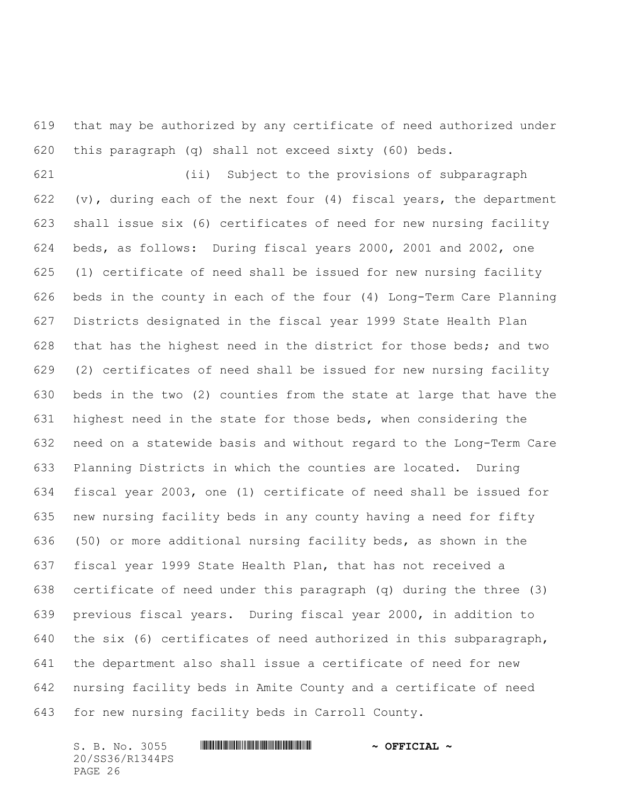that may be authorized by any certificate of need authorized under this paragraph (q) shall not exceed sixty (60) beds.

 (ii) Subject to the provisions of subparagraph 622 (v), during each of the next four (4) fiscal years, the department shall issue six (6) certificates of need for new nursing facility beds, as follows: During fiscal years 2000, 2001 and 2002, one (1) certificate of need shall be issued for new nursing facility beds in the county in each of the four (4) Long-Term Care Planning Districts designated in the fiscal year 1999 State Health Plan that has the highest need in the district for those beds; and two (2) certificates of need shall be issued for new nursing facility beds in the two (2) counties from the state at large that have the highest need in the state for those beds, when considering the need on a statewide basis and without regard to the Long-Term Care Planning Districts in which the counties are located. During fiscal year 2003, one (1) certificate of need shall be issued for new nursing facility beds in any county having a need for fifty (50) or more additional nursing facility beds, as shown in the fiscal year 1999 State Health Plan, that has not received a certificate of need under this paragraph (q) during the three (3) previous fiscal years. During fiscal year 2000, in addition to the six (6) certificates of need authorized in this subparagraph, the department also shall issue a certificate of need for new nursing facility beds in Amite County and a certificate of need for new nursing facility beds in Carroll County.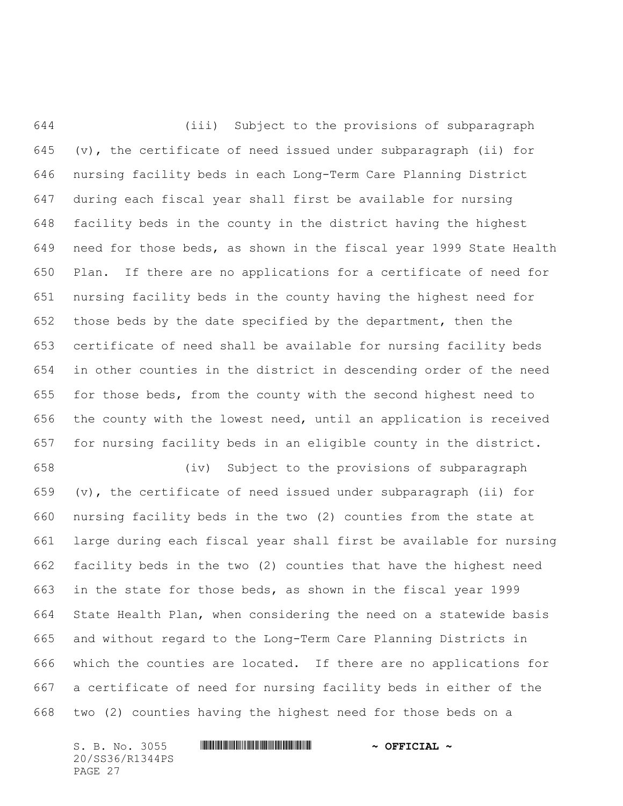(iii) Subject to the provisions of subparagraph (v), the certificate of need issued under subparagraph (ii) for nursing facility beds in each Long-Term Care Planning District during each fiscal year shall first be available for nursing facility beds in the county in the district having the highest need for those beds, as shown in the fiscal year 1999 State Health Plan. If there are no applications for a certificate of need for nursing facility beds in the county having the highest need for those beds by the date specified by the department, then the certificate of need shall be available for nursing facility beds in other counties in the district in descending order of the need for those beds, from the county with the second highest need to the county with the lowest need, until an application is received for nursing facility beds in an eligible county in the district.

 (iv) Subject to the provisions of subparagraph (v), the certificate of need issued under subparagraph (ii) for nursing facility beds in the two (2) counties from the state at large during each fiscal year shall first be available for nursing facility beds in the two (2) counties that have the highest need in the state for those beds, as shown in the fiscal year 1999 State Health Plan, when considering the need on a statewide basis and without regard to the Long-Term Care Planning Districts in which the counties are located. If there are no applications for a certificate of need for nursing facility beds in either of the two (2) counties having the highest need for those beds on a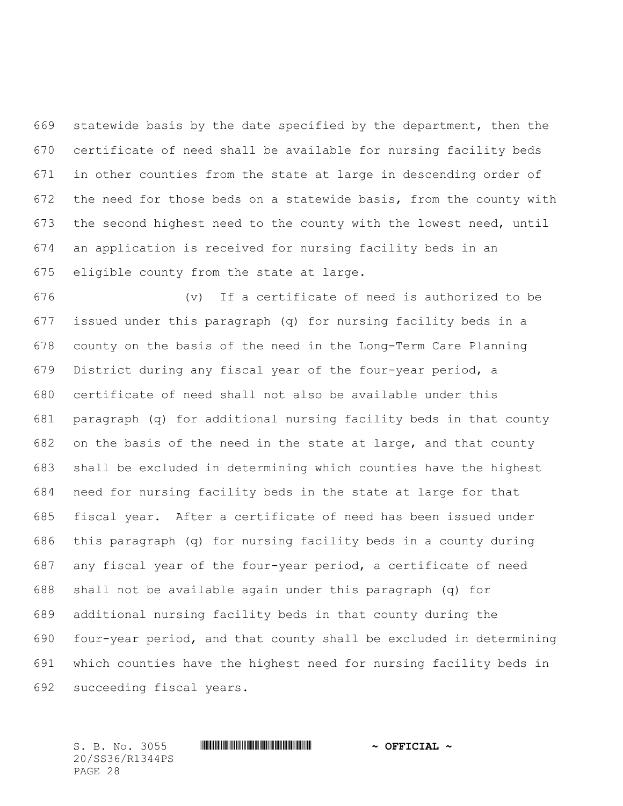statewide basis by the date specified by the department, then the certificate of need shall be available for nursing facility beds in other counties from the state at large in descending order of the need for those beds on a statewide basis, from the county with the second highest need to the county with the lowest need, until an application is received for nursing facility beds in an eligible county from the state at large.

 (v) If a certificate of need is authorized to be issued under this paragraph (q) for nursing facility beds in a county on the basis of the need in the Long-Term Care Planning District during any fiscal year of the four-year period, a certificate of need shall not also be available under this paragraph (q) for additional nursing facility beds in that county on the basis of the need in the state at large, and that county shall be excluded in determining which counties have the highest need for nursing facility beds in the state at large for that fiscal year. After a certificate of need has been issued under this paragraph (q) for nursing facility beds in a county during any fiscal year of the four-year period, a certificate of need shall not be available again under this paragraph (q) for additional nursing facility beds in that county during the four-year period, and that county shall be excluded in determining which counties have the highest need for nursing facility beds in succeeding fiscal years.

20/SS36/R1344PS PAGE 28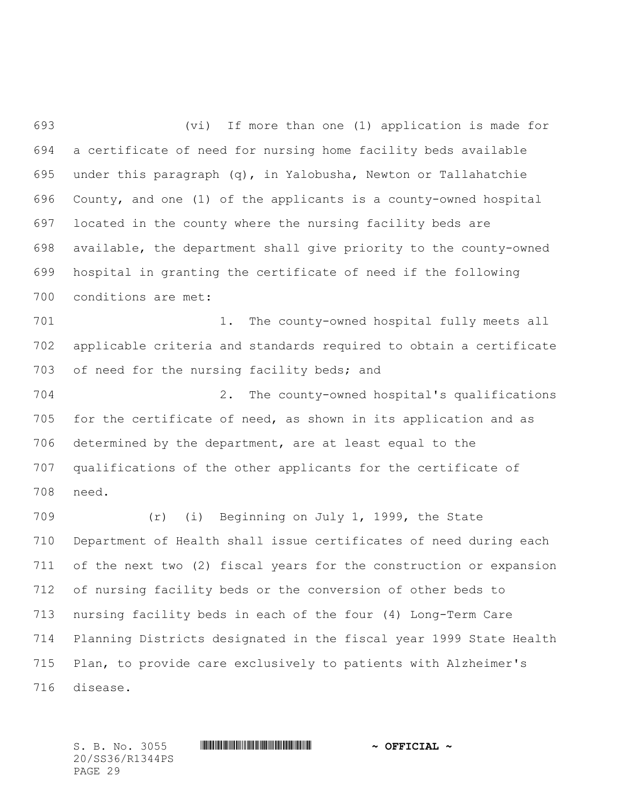(vi) If more than one (1) application is made for a certificate of need for nursing home facility beds available under this paragraph (q), in Yalobusha, Newton or Tallahatchie County, and one (1) of the applicants is a county-owned hospital located in the county where the nursing facility beds are available, the department shall give priority to the county-owned hospital in granting the certificate of need if the following conditions are met:

701 1. The county-owned hospital fully meets all applicable criteria and standards required to obtain a certificate of need for the nursing facility beds; and

 2. The county-owned hospital's qualifications for the certificate of need, as shown in its application and as determined by the department, are at least equal to the qualifications of the other applicants for the certificate of need.

 (r) (i) Beginning on July 1, 1999, the State Department of Health shall issue certificates of need during each of the next two (2) fiscal years for the construction or expansion of nursing facility beds or the conversion of other beds to nursing facility beds in each of the four (4) Long-Term Care Planning Districts designated in the fiscal year 1999 State Health Plan, to provide care exclusively to patients with Alzheimer's disease.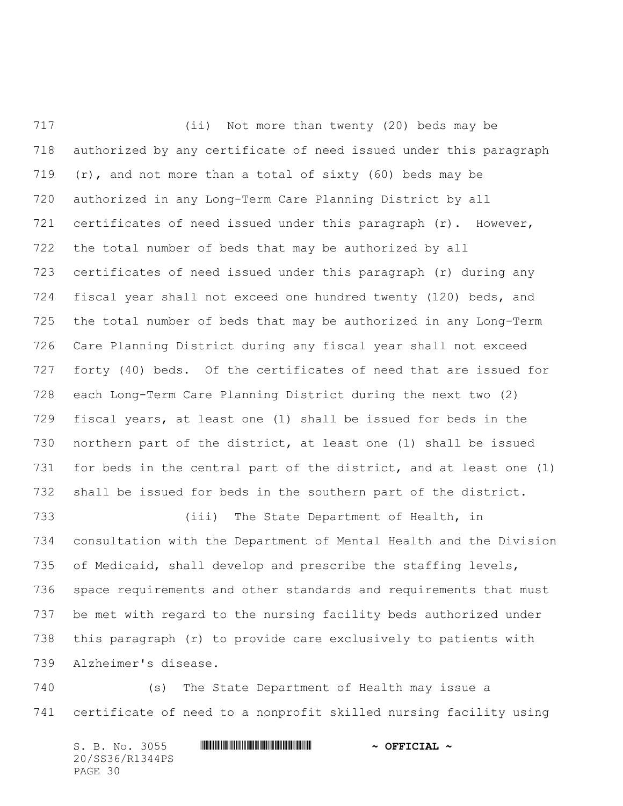(ii) Not more than twenty (20) beds may be authorized by any certificate of need issued under this paragraph  $(r)$ , and not more than a total of sixty (60) beds may be authorized in any Long-Term Care Planning District by all certificates of need issued under this paragraph (r). However, the total number of beds that may be authorized by all certificates of need issued under this paragraph (r) during any fiscal year shall not exceed one hundred twenty (120) beds, and the total number of beds that may be authorized in any Long-Term Care Planning District during any fiscal year shall not exceed forty (40) beds. Of the certificates of need that are issued for each Long-Term Care Planning District during the next two (2) fiscal years, at least one (1) shall be issued for beds in the northern part of the district, at least one (1) shall be issued for beds in the central part of the district, and at least one (1) shall be issued for beds in the southern part of the district. (iii) The State Department of Health, in consultation with the Department of Mental Health and the Division of Medicaid, shall develop and prescribe the staffing levels, space requirements and other standards and requirements that must be met with regard to the nursing facility beds authorized under

 this paragraph (r) to provide care exclusively to patients with Alzheimer's disease.

 (s) The State Department of Health may issue a certificate of need to a nonprofit skilled nursing facility using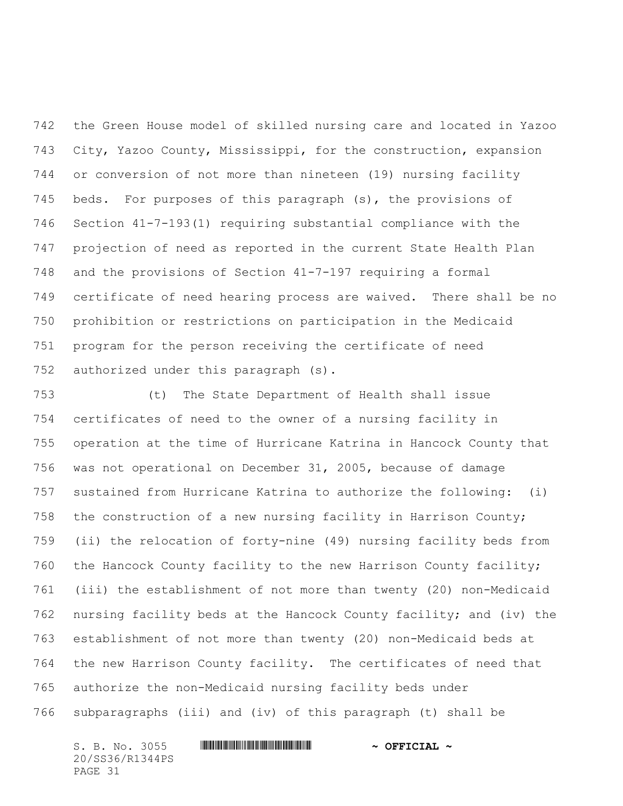the Green House model of skilled nursing care and located in Yazoo City, Yazoo County, Mississippi, for the construction, expansion or conversion of not more than nineteen (19) nursing facility beds. For purposes of this paragraph (s), the provisions of Section 41-7-193(1) requiring substantial compliance with the projection of need as reported in the current State Health Plan and the provisions of Section 41-7-197 requiring a formal certificate of need hearing process are waived. There shall be no prohibition or restrictions on participation in the Medicaid program for the person receiving the certificate of need authorized under this paragraph (s).

 (t) The State Department of Health shall issue certificates of need to the owner of a nursing facility in operation at the time of Hurricane Katrina in Hancock County that was not operational on December 31, 2005, because of damage sustained from Hurricane Katrina to authorize the following: (i) the construction of a new nursing facility in Harrison County; (ii) the relocation of forty-nine (49) nursing facility beds from the Hancock County facility to the new Harrison County facility; (iii) the establishment of not more than twenty (20) non-Medicaid nursing facility beds at the Hancock County facility; and (iv) the establishment of not more than twenty (20) non-Medicaid beds at the new Harrison County facility. The certificates of need that authorize the non-Medicaid nursing facility beds under subparagraphs (iii) and (iv) of this paragraph (t) shall be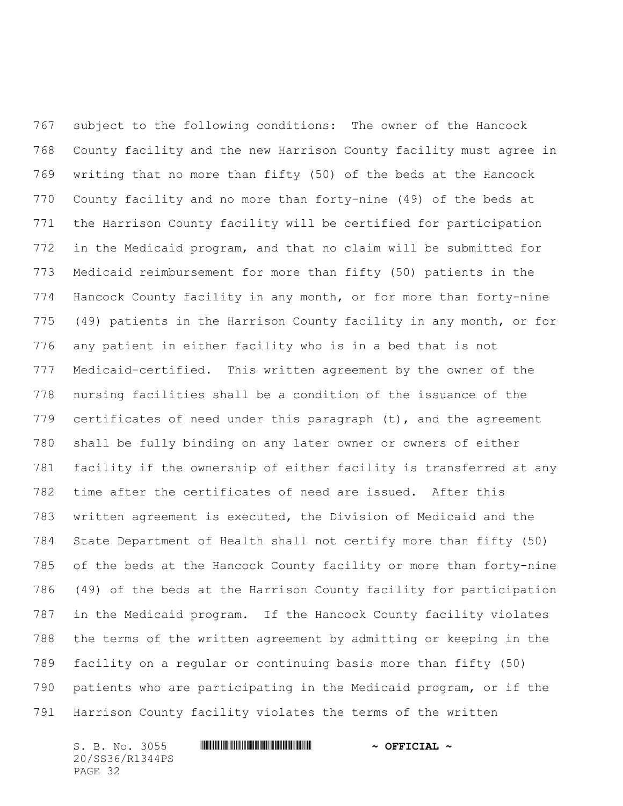subject to the following conditions: The owner of the Hancock County facility and the new Harrison County facility must agree in writing that no more than fifty (50) of the beds at the Hancock County facility and no more than forty-nine (49) of the beds at the Harrison County facility will be certified for participation in the Medicaid program, and that no claim will be submitted for Medicaid reimbursement for more than fifty (50) patients in the Hancock County facility in any month, or for more than forty-nine (49) patients in the Harrison County facility in any month, or for any patient in either facility who is in a bed that is not Medicaid-certified. This written agreement by the owner of the nursing facilities shall be a condition of the issuance of the 779 certificates of need under this paragraph (t), and the agreement shall be fully binding on any later owner or owners of either facility if the ownership of either facility is transferred at any time after the certificates of need are issued. After this written agreement is executed, the Division of Medicaid and the State Department of Health shall not certify more than fifty (50) of the beds at the Hancock County facility or more than forty-nine (49) of the beds at the Harrison County facility for participation in the Medicaid program. If the Hancock County facility violates the terms of the written agreement by admitting or keeping in the facility on a regular or continuing basis more than fifty (50) patients who are participating in the Medicaid program, or if the Harrison County facility violates the terms of the written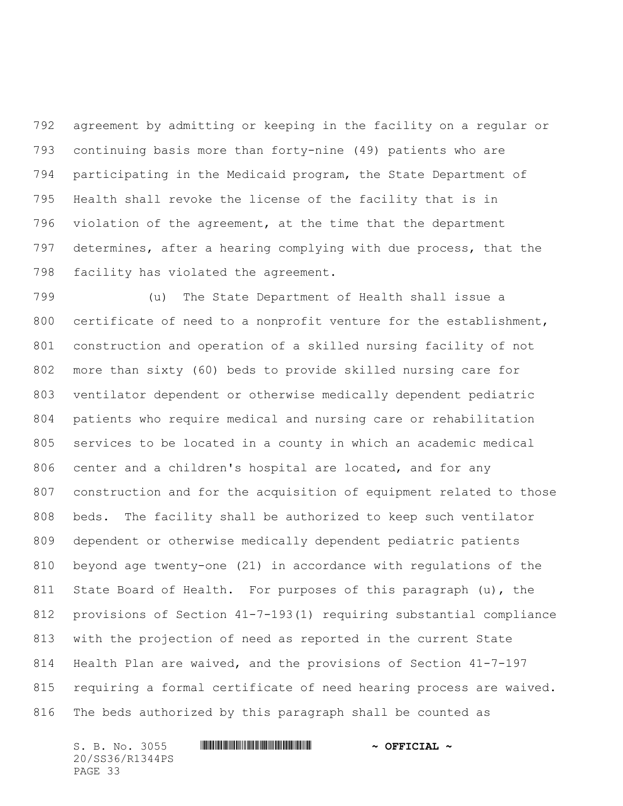agreement by admitting or keeping in the facility on a regular or continuing basis more than forty-nine (49) patients who are participating in the Medicaid program, the State Department of Health shall revoke the license of the facility that is in violation of the agreement, at the time that the department determines, after a hearing complying with due process, that the facility has violated the agreement.

 (u) The State Department of Health shall issue a certificate of need to a nonprofit venture for the establishment, construction and operation of a skilled nursing facility of not more than sixty (60) beds to provide skilled nursing care for ventilator dependent or otherwise medically dependent pediatric patients who require medical and nursing care or rehabilitation services to be located in a county in which an academic medical center and a children's hospital are located, and for any construction and for the acquisition of equipment related to those beds. The facility shall be authorized to keep such ventilator dependent or otherwise medically dependent pediatric patients beyond age twenty-one (21) in accordance with regulations of the State Board of Health. For purposes of this paragraph (u), the provisions of Section 41-7-193(1) requiring substantial compliance with the projection of need as reported in the current State Health Plan are waived, and the provisions of Section 41-7-197 requiring a formal certificate of need hearing process are waived. The beds authorized by this paragraph shall be counted as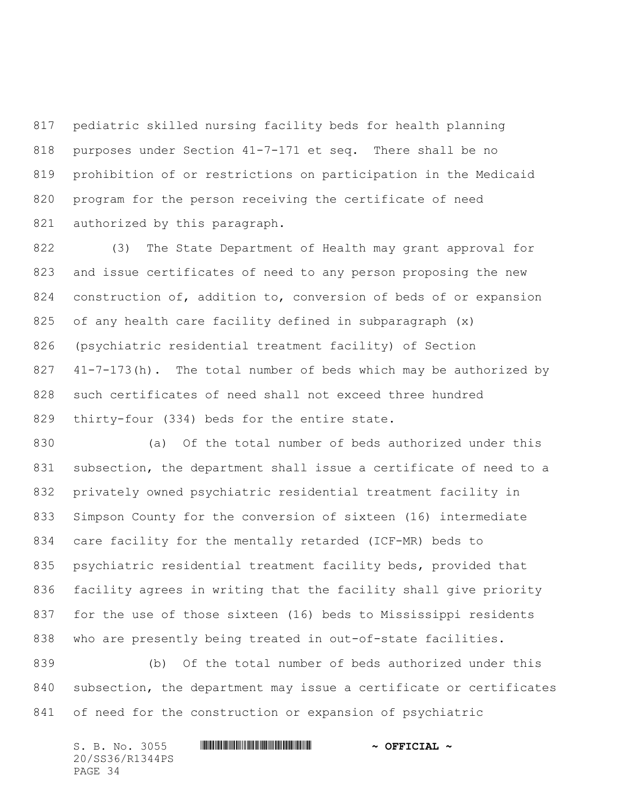pediatric skilled nursing facility beds for health planning purposes under Section 41-7-171 et seq. There shall be no prohibition of or restrictions on participation in the Medicaid program for the person receiving the certificate of need 821 authorized by this paragraph.

 (3) The State Department of Health may grant approval for and issue certificates of need to any person proposing the new construction of, addition to, conversion of beds of or expansion of any health care facility defined in subparagraph (x) (psychiatric residential treatment facility) of Section 41-7-173(h). The total number of beds which may be authorized by such certificates of need shall not exceed three hundred thirty-four (334) beds for the entire state.

 (a) Of the total number of beds authorized under this subsection, the department shall issue a certificate of need to a privately owned psychiatric residential treatment facility in Simpson County for the conversion of sixteen (16) intermediate care facility for the mentally retarded (ICF-MR) beds to psychiatric residential treatment facility beds, provided that facility agrees in writing that the facility shall give priority for the use of those sixteen (16) beds to Mississippi residents who are presently being treated in out-of-state facilities.

 (b) Of the total number of beds authorized under this subsection, the department may issue a certificate or certificates of need for the construction or expansion of psychiatric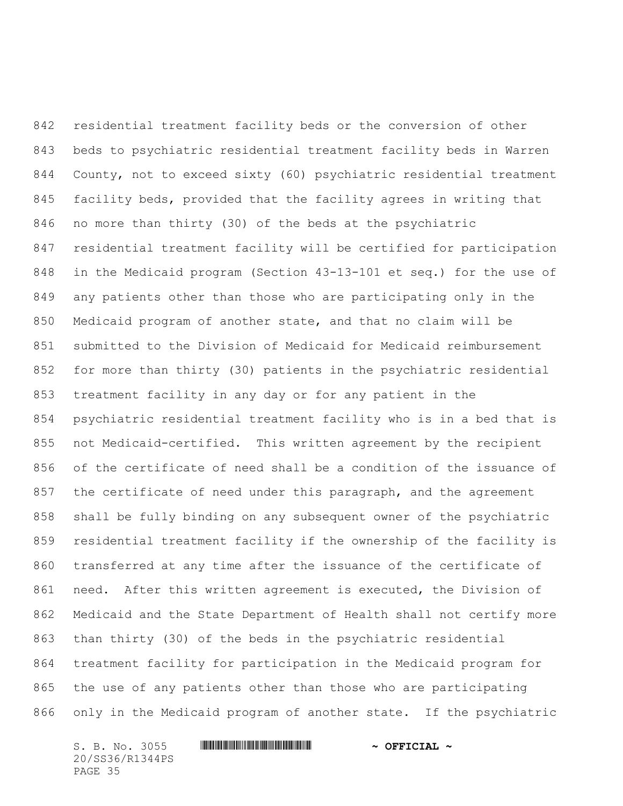residential treatment facility beds or the conversion of other beds to psychiatric residential treatment facility beds in Warren County, not to exceed sixty (60) psychiatric residential treatment facility beds, provided that the facility agrees in writing that no more than thirty (30) of the beds at the psychiatric residential treatment facility will be certified for participation in the Medicaid program (Section 43-13-101 et seq.) for the use of any patients other than those who are participating only in the Medicaid program of another state, and that no claim will be submitted to the Division of Medicaid for Medicaid reimbursement for more than thirty (30) patients in the psychiatric residential treatment facility in any day or for any patient in the psychiatric residential treatment facility who is in a bed that is not Medicaid-certified. This written agreement by the recipient of the certificate of need shall be a condition of the issuance of 857 the certificate of need under this paragraph, and the agreement shall be fully binding on any subsequent owner of the psychiatric residential treatment facility if the ownership of the facility is transferred at any time after the issuance of the certificate of need. After this written agreement is executed, the Division of Medicaid and the State Department of Health shall not certify more than thirty (30) of the beds in the psychiatric residential treatment facility for participation in the Medicaid program for the use of any patients other than those who are participating only in the Medicaid program of another state. If the psychiatric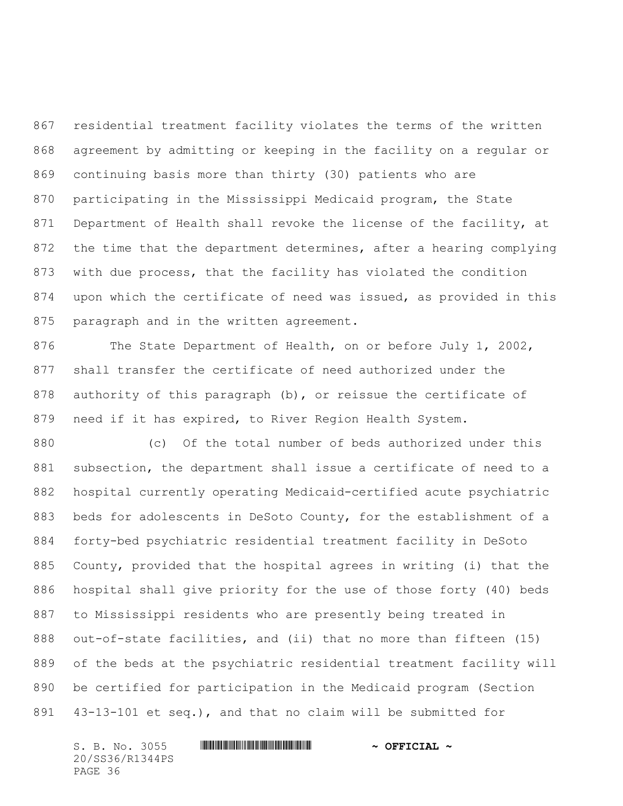residential treatment facility violates the terms of the written agreement by admitting or keeping in the facility on a regular or continuing basis more than thirty (30) patients who are participating in the Mississippi Medicaid program, the State 871 Department of Health shall revoke the license of the facility, at the time that the department determines, after a hearing complying with due process, that the facility has violated the condition upon which the certificate of need was issued, as provided in this 875 paragraph and in the written agreement.

876 The State Department of Health, on or before July 1, 2002, shall transfer the certificate of need authorized under the authority of this paragraph (b), or reissue the certificate of need if it has expired, to River Region Health System.

 (c) Of the total number of beds authorized under this subsection, the department shall issue a certificate of need to a hospital currently operating Medicaid-certified acute psychiatric beds for adolescents in DeSoto County, for the establishment of a forty-bed psychiatric residential treatment facility in DeSoto County, provided that the hospital agrees in writing (i) that the hospital shall give priority for the use of those forty (40) beds to Mississippi residents who are presently being treated in out-of-state facilities, and (ii) that no more than fifteen (15) of the beds at the psychiatric residential treatment facility will be certified for participation in the Medicaid program (Section 43-13-101 et seq.), and that no claim will be submitted for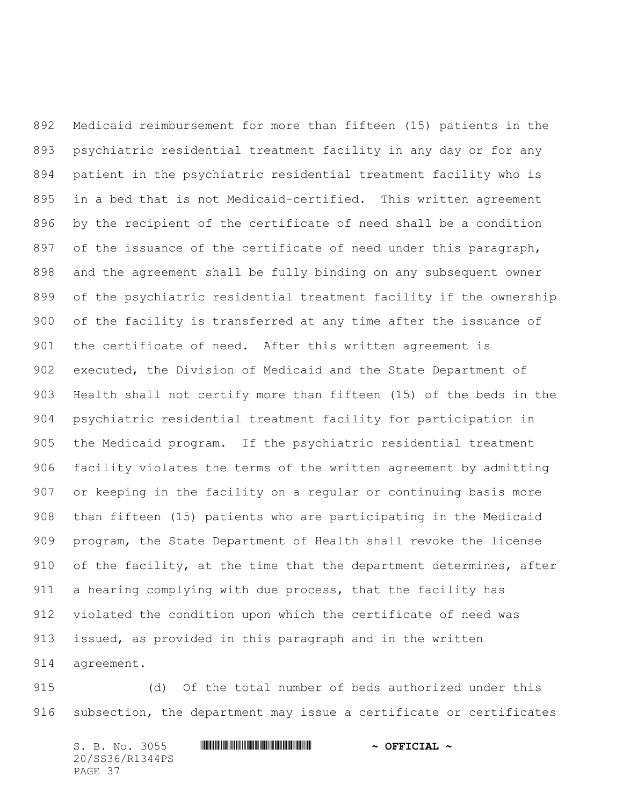Medicaid reimbursement for more than fifteen (15) patients in the psychiatric residential treatment facility in any day or for any patient in the psychiatric residential treatment facility who is in a bed that is not Medicaid-certified. This written agreement by the recipient of the certificate of need shall be a condition 897 of the issuance of the certificate of need under this paragraph, and the agreement shall be fully binding on any subsequent owner of the psychiatric residential treatment facility if the ownership of the facility is transferred at any time after the issuance of the certificate of need. After this written agreement is executed, the Division of Medicaid and the State Department of Health shall not certify more than fifteen (15) of the beds in the psychiatric residential treatment facility for participation in the Medicaid program. If the psychiatric residential treatment facility violates the terms of the written agreement by admitting or keeping in the facility on a regular or continuing basis more than fifteen (15) patients who are participating in the Medicaid program, the State Department of Health shall revoke the license of the facility, at the time that the department determines, after a hearing complying with due process, that the facility has violated the condition upon which the certificate of need was issued, as provided in this paragraph and in the written agreement.

 (d) Of the total number of beds authorized under this subsection, the department may issue a certificate or certificates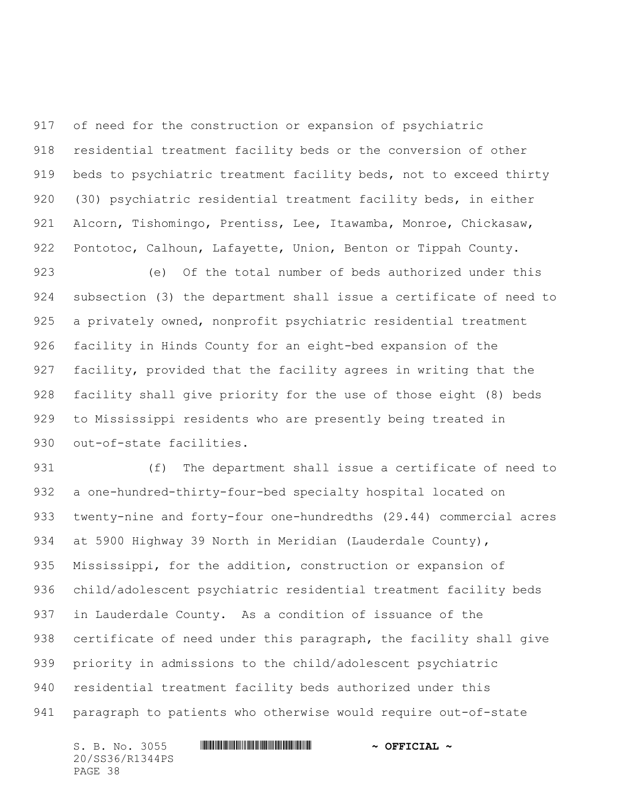of need for the construction or expansion of psychiatric residential treatment facility beds or the conversion of other beds to psychiatric treatment facility beds, not to exceed thirty (30) psychiatric residential treatment facility beds, in either Alcorn, Tishomingo, Prentiss, Lee, Itawamba, Monroe, Chickasaw, Pontotoc, Calhoun, Lafayette, Union, Benton or Tippah County.

 (e) Of the total number of beds authorized under this subsection (3) the department shall issue a certificate of need to a privately owned, nonprofit psychiatric residential treatment facility in Hinds County for an eight-bed expansion of the facility, provided that the facility agrees in writing that the facility shall give priority for the use of those eight (8) beds to Mississippi residents who are presently being treated in out-of-state facilities.

 (f) The department shall issue a certificate of need to a one-hundred-thirty-four-bed specialty hospital located on twenty-nine and forty-four one-hundredths (29.44) commercial acres 934 at 5900 Highway 39 North in Meridian (Lauderdale County), Mississippi, for the addition, construction or expansion of child/adolescent psychiatric residential treatment facility beds in Lauderdale County. As a condition of issuance of the certificate of need under this paragraph, the facility shall give priority in admissions to the child/adolescent psychiatric residential treatment facility beds authorized under this paragraph to patients who otherwise would require out-of-state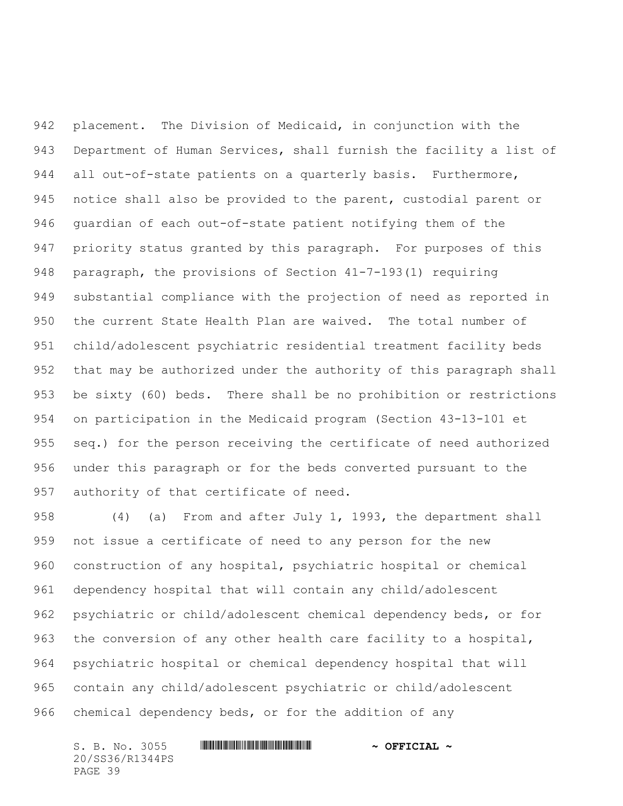placement. The Division of Medicaid, in conjunction with the Department of Human Services, shall furnish the facility a list of all out-of-state patients on a quarterly basis. Furthermore, notice shall also be provided to the parent, custodial parent or guardian of each out-of-state patient notifying them of the priority status granted by this paragraph. For purposes of this paragraph, the provisions of Section 41-7-193(1) requiring substantial compliance with the projection of need as reported in the current State Health Plan are waived. The total number of child/adolescent psychiatric residential treatment facility beds that may be authorized under the authority of this paragraph shall be sixty (60) beds. There shall be no prohibition or restrictions on participation in the Medicaid program (Section 43-13-101 et seq.) for the person receiving the certificate of need authorized under this paragraph or for the beds converted pursuant to the authority of that certificate of need.

 (4) (a) From and after July 1, 1993, the department shall not issue a certificate of need to any person for the new construction of any hospital, psychiatric hospital or chemical dependency hospital that will contain any child/adolescent psychiatric or child/adolescent chemical dependency beds, or for the conversion of any other health care facility to a hospital, psychiatric hospital or chemical dependency hospital that will contain any child/adolescent psychiatric or child/adolescent chemical dependency beds, or for the addition of any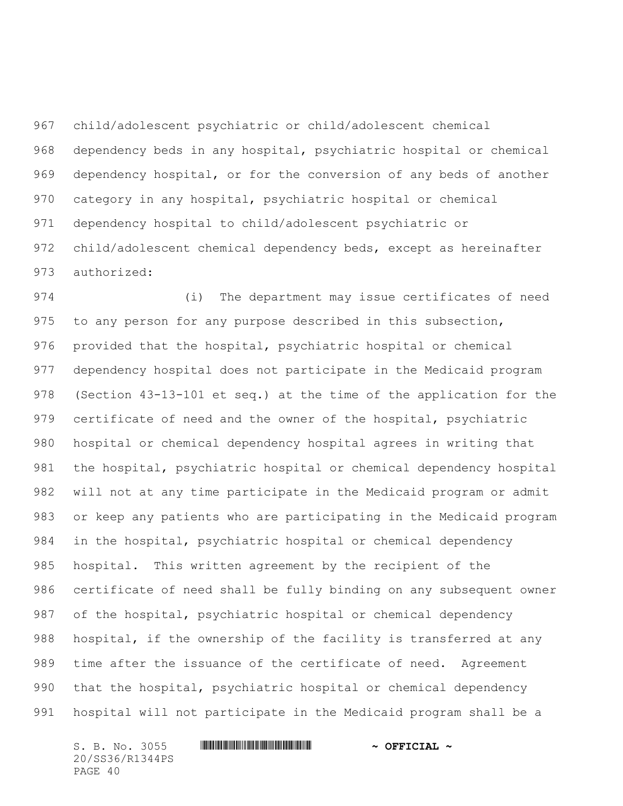child/adolescent psychiatric or child/adolescent chemical dependency beds in any hospital, psychiatric hospital or chemical dependency hospital, or for the conversion of any beds of another category in any hospital, psychiatric hospital or chemical dependency hospital to child/adolescent psychiatric or child/adolescent chemical dependency beds, except as hereinafter authorized:

 (i) The department may issue certificates of need to any person for any purpose described in this subsection, provided that the hospital, psychiatric hospital or chemical dependency hospital does not participate in the Medicaid program (Section 43-13-101 et seq.) at the time of the application for the certificate of need and the owner of the hospital, psychiatric hospital or chemical dependency hospital agrees in writing that the hospital, psychiatric hospital or chemical dependency hospital will not at any time participate in the Medicaid program or admit or keep any patients who are participating in the Medicaid program in the hospital, psychiatric hospital or chemical dependency hospital. This written agreement by the recipient of the certificate of need shall be fully binding on any subsequent owner of the hospital, psychiatric hospital or chemical dependency hospital, if the ownership of the facility is transferred at any time after the issuance of the certificate of need. Agreement that the hospital, psychiatric hospital or chemical dependency hospital will not participate in the Medicaid program shall be a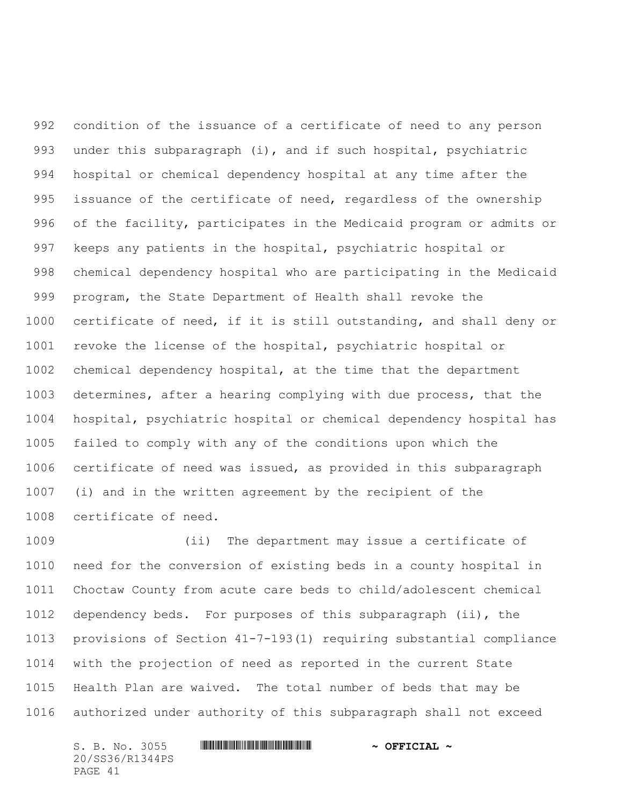condition of the issuance of a certificate of need to any person under this subparagraph (i), and if such hospital, psychiatric hospital or chemical dependency hospital at any time after the 995 issuance of the certificate of need, regardless of the ownership of the facility, participates in the Medicaid program or admits or keeps any patients in the hospital, psychiatric hospital or chemical dependency hospital who are participating in the Medicaid program, the State Department of Health shall revoke the certificate of need, if it is still outstanding, and shall deny or revoke the license of the hospital, psychiatric hospital or chemical dependency hospital, at the time that the department determines, after a hearing complying with due process, that the hospital, psychiatric hospital or chemical dependency hospital has failed to comply with any of the conditions upon which the certificate of need was issued, as provided in this subparagraph (i) and in the written agreement by the recipient of the certificate of need.

 (ii) The department may issue a certificate of need for the conversion of existing beds in a county hospital in Choctaw County from acute care beds to child/adolescent chemical dependency beds. For purposes of this subparagraph (ii), the provisions of Section 41-7-193(1) requiring substantial compliance with the projection of need as reported in the current State Health Plan are waived. The total number of beds that may be authorized under authority of this subparagraph shall not exceed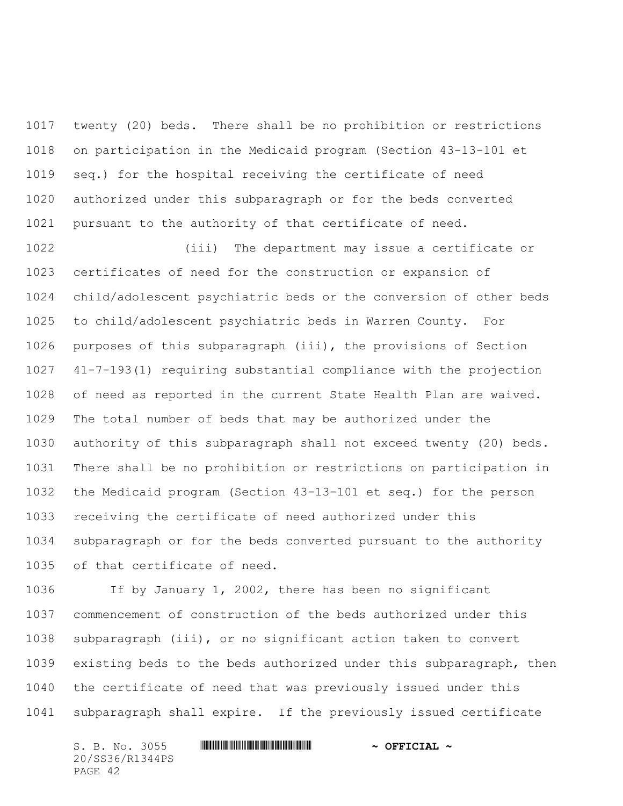twenty (20) beds. There shall be no prohibition or restrictions on participation in the Medicaid program (Section 43-13-101 et seq.) for the hospital receiving the certificate of need authorized under this subparagraph or for the beds converted pursuant to the authority of that certificate of need.

 (iii) The department may issue a certificate or certificates of need for the construction or expansion of child/adolescent psychiatric beds or the conversion of other beds to child/adolescent psychiatric beds in Warren County. For purposes of this subparagraph (iii), the provisions of Section 41-7-193(1) requiring substantial compliance with the projection of need as reported in the current State Health Plan are waived. The total number of beds that may be authorized under the authority of this subparagraph shall not exceed twenty (20) beds. There shall be no prohibition or restrictions on participation in the Medicaid program (Section 43-13-101 et seq.) for the person receiving the certificate of need authorized under this subparagraph or for the beds converted pursuant to the authority of that certificate of need.

 If by January 1, 2002, there has been no significant commencement of construction of the beds authorized under this subparagraph (iii), or no significant action taken to convert existing beds to the beds authorized under this subparagraph, then the certificate of need that was previously issued under this subparagraph shall expire. If the previously issued certificate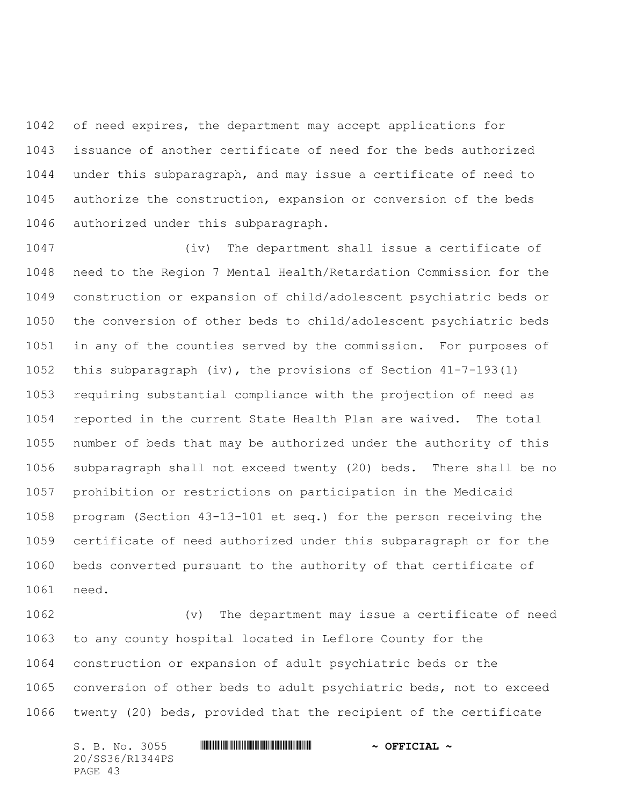of need expires, the department may accept applications for issuance of another certificate of need for the beds authorized under this subparagraph, and may issue a certificate of need to authorize the construction, expansion or conversion of the beds authorized under this subparagraph.

 (iv) The department shall issue a certificate of need to the Region 7 Mental Health/Retardation Commission for the construction or expansion of child/adolescent psychiatric beds or the conversion of other beds to child/adolescent psychiatric beds in any of the counties served by the commission. For purposes of this subparagraph (iv), the provisions of Section 41-7-193(1) requiring substantial compliance with the projection of need as reported in the current State Health Plan are waived. The total number of beds that may be authorized under the authority of this subparagraph shall not exceed twenty (20) beds. There shall be no prohibition or restrictions on participation in the Medicaid program (Section 43-13-101 et seq.) for the person receiving the certificate of need authorized under this subparagraph or for the beds converted pursuant to the authority of that certificate of need.

 (v) The department may issue a certificate of need to any county hospital located in Leflore County for the construction or expansion of adult psychiatric beds or the conversion of other beds to adult psychiatric beds, not to exceed twenty (20) beds, provided that the recipient of the certificate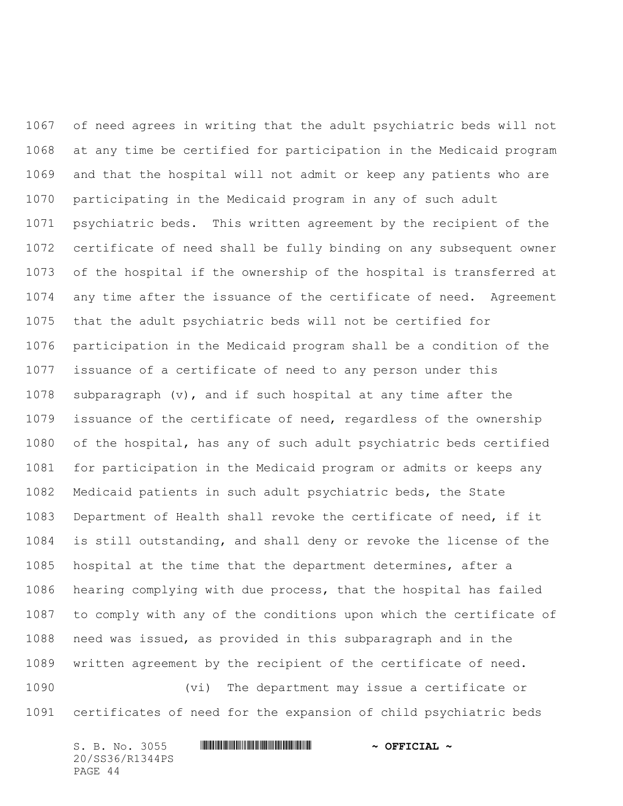of need agrees in writing that the adult psychiatric beds will not at any time be certified for participation in the Medicaid program and that the hospital will not admit or keep any patients who are participating in the Medicaid program in any of such adult psychiatric beds. This written agreement by the recipient of the certificate of need shall be fully binding on any subsequent owner of the hospital if the ownership of the hospital is transferred at any time after the issuance of the certificate of need. Agreement that the adult psychiatric beds will not be certified for participation in the Medicaid program shall be a condition of the issuance of a certificate of need to any person under this subparagraph (v), and if such hospital at any time after the issuance of the certificate of need, regardless of the ownership of the hospital, has any of such adult psychiatric beds certified for participation in the Medicaid program or admits or keeps any Medicaid patients in such adult psychiatric beds, the State Department of Health shall revoke the certificate of need, if it is still outstanding, and shall deny or revoke the license of the hospital at the time that the department determines, after a hearing complying with due process, that the hospital has failed to comply with any of the conditions upon which the certificate of need was issued, as provided in this subparagraph and in the written agreement by the recipient of the certificate of need.

 (vi) The department may issue a certificate or certificates of need for the expansion of child psychiatric beds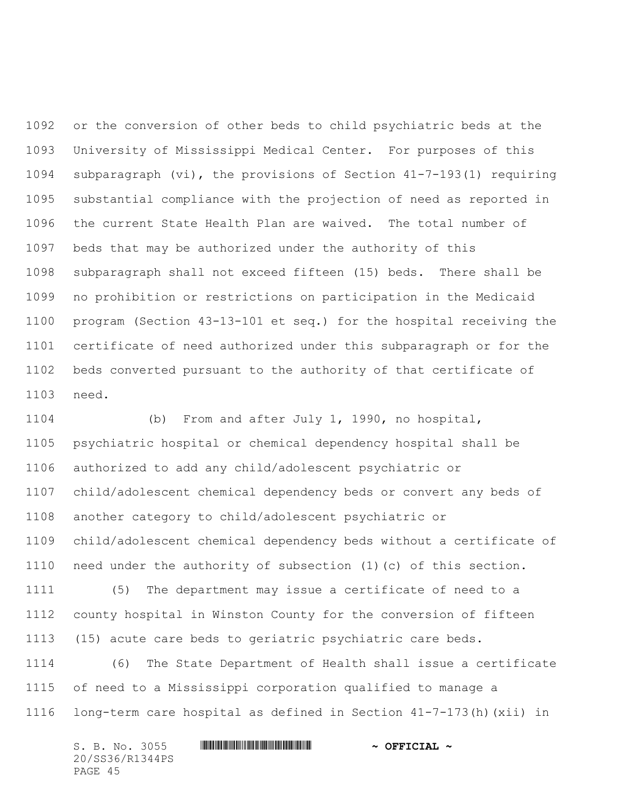or the conversion of other beds to child psychiatric beds at the University of Mississippi Medical Center. For purposes of this subparagraph (vi), the provisions of Section 41-7-193(1) requiring substantial compliance with the projection of need as reported in the current State Health Plan are waived. The total number of beds that may be authorized under the authority of this subparagraph shall not exceed fifteen (15) beds. There shall be no prohibition or restrictions on participation in the Medicaid program (Section 43-13-101 et seq.) for the hospital receiving the certificate of need authorized under this subparagraph or for the beds converted pursuant to the authority of that certificate of need.

 (b) From and after July 1, 1990, no hospital, psychiatric hospital or chemical dependency hospital shall be authorized to add any child/adolescent psychiatric or child/adolescent chemical dependency beds or convert any beds of another category to child/adolescent psychiatric or child/adolescent chemical dependency beds without a certificate of need under the authority of subsection (1)(c) of this section. (5) The department may issue a certificate of need to a county hospital in Winston County for the conversion of fifteen (15) acute care beds to geriatric psychiatric care beds. (6) The State Department of Health shall issue a certificate

 of need to a Mississippi corporation qualified to manage a long-term care hospital as defined in Section 41-7-173(h)(xii) in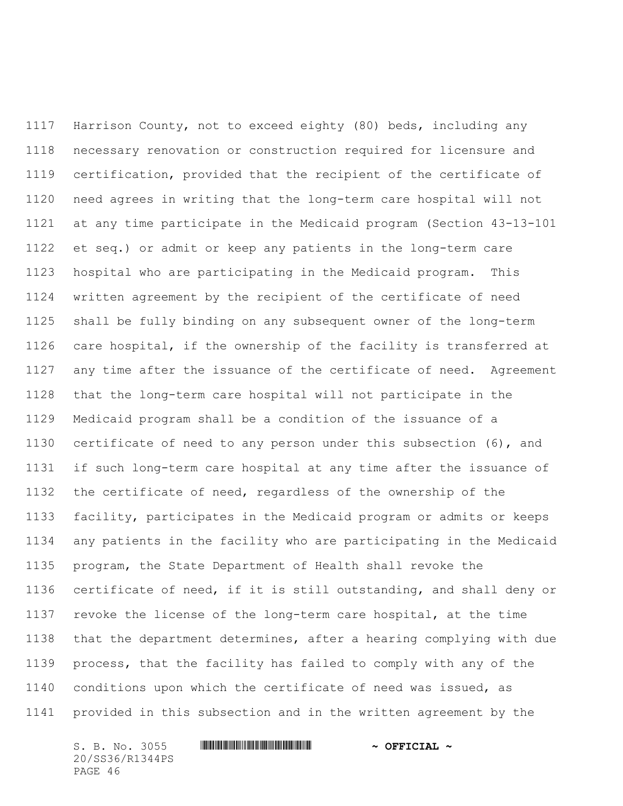Harrison County, not to exceed eighty (80) beds, including any necessary renovation or construction required for licensure and certification, provided that the recipient of the certificate of need agrees in writing that the long-term care hospital will not at any time participate in the Medicaid program (Section 43-13-101 et seq.) or admit or keep any patients in the long-term care hospital who are participating in the Medicaid program. This written agreement by the recipient of the certificate of need shall be fully binding on any subsequent owner of the long-term care hospital, if the ownership of the facility is transferred at any time after the issuance of the certificate of need. Agreement that the long-term care hospital will not participate in the Medicaid program shall be a condition of the issuance of a certificate of need to any person under this subsection (6), and if such long-term care hospital at any time after the issuance of the certificate of need, regardless of the ownership of the facility, participates in the Medicaid program or admits or keeps any patients in the facility who are participating in the Medicaid program, the State Department of Health shall revoke the certificate of need, if it is still outstanding, and shall deny or revoke the license of the long-term care hospital, at the time that the department determines, after a hearing complying with due process, that the facility has failed to comply with any of the conditions upon which the certificate of need was issued, as provided in this subsection and in the written agreement by the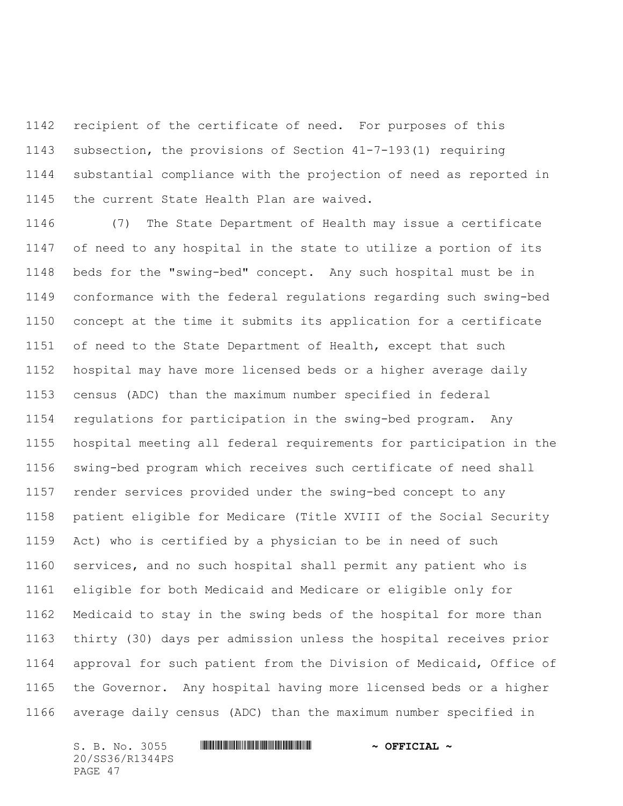recipient of the certificate of need. For purposes of this subsection, the provisions of Section 41-7-193(1) requiring substantial compliance with the projection of need as reported in the current State Health Plan are waived.

 (7) The State Department of Health may issue a certificate of need to any hospital in the state to utilize a portion of its beds for the "swing-bed" concept. Any such hospital must be in conformance with the federal regulations regarding such swing-bed concept at the time it submits its application for a certificate of need to the State Department of Health, except that such hospital may have more licensed beds or a higher average daily census (ADC) than the maximum number specified in federal regulations for participation in the swing-bed program. Any hospital meeting all federal requirements for participation in the swing-bed program which receives such certificate of need shall render services provided under the swing-bed concept to any patient eligible for Medicare (Title XVIII of the Social Security Act) who is certified by a physician to be in need of such services, and no such hospital shall permit any patient who is eligible for both Medicaid and Medicare or eligible only for Medicaid to stay in the swing beds of the hospital for more than thirty (30) days per admission unless the hospital receives prior approval for such patient from the Division of Medicaid, Office of the Governor. Any hospital having more licensed beds or a higher average daily census (ADC) than the maximum number specified in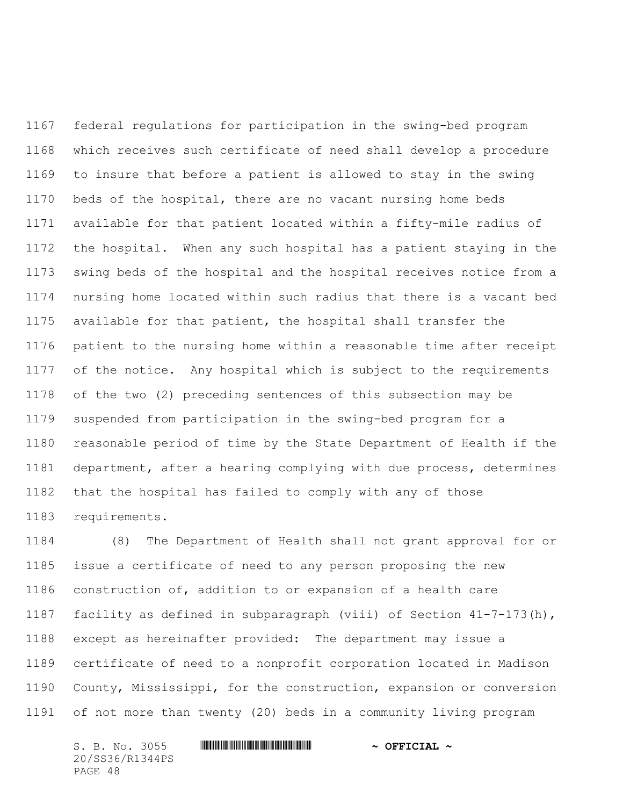federal regulations for participation in the swing-bed program which receives such certificate of need shall develop a procedure to insure that before a patient is allowed to stay in the swing beds of the hospital, there are no vacant nursing home beds available for that patient located within a fifty-mile radius of the hospital. When any such hospital has a patient staying in the swing beds of the hospital and the hospital receives notice from a nursing home located within such radius that there is a vacant bed available for that patient, the hospital shall transfer the patient to the nursing home within a reasonable time after receipt of the notice. Any hospital which is subject to the requirements of the two (2) preceding sentences of this subsection may be suspended from participation in the swing-bed program for a reasonable period of time by the State Department of Health if the department, after a hearing complying with due process, determines that the hospital has failed to comply with any of those requirements.

 (8) The Department of Health shall not grant approval for or issue a certificate of need to any person proposing the new construction of, addition to or expansion of a health care facility as defined in subparagraph (viii) of Section 41-7-173(h), except as hereinafter provided: The department may issue a certificate of need to a nonprofit corporation located in Madison County, Mississippi, for the construction, expansion or conversion of not more than twenty (20) beds in a community living program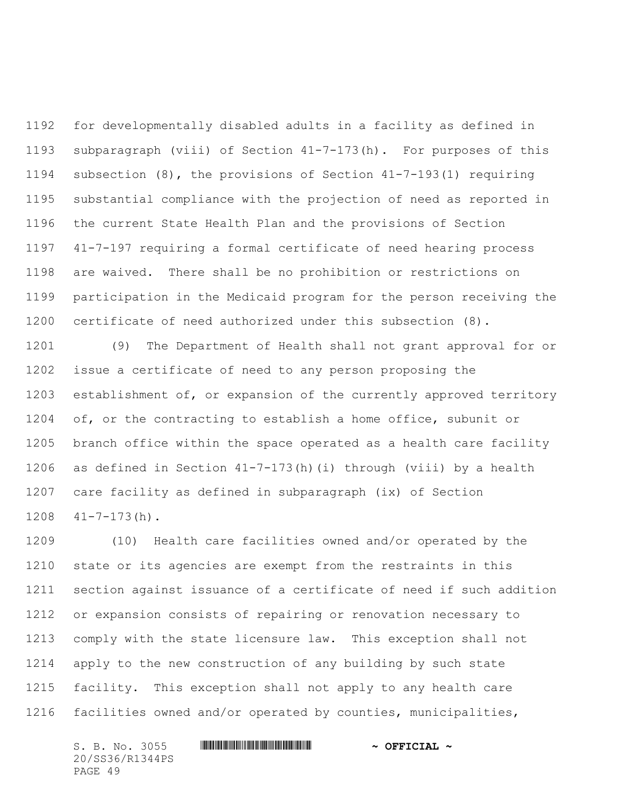for developmentally disabled adults in a facility as defined in subparagraph (viii) of Section 41-7-173(h). For purposes of this subsection (8), the provisions of Section 41-7-193(1) requiring substantial compliance with the projection of need as reported in the current State Health Plan and the provisions of Section 41-7-197 requiring a formal certificate of need hearing process are waived. There shall be no prohibition or restrictions on participation in the Medicaid program for the person receiving the certificate of need authorized under this subsection (8).

 (9) The Department of Health shall not grant approval for or issue a certificate of need to any person proposing the establishment of, or expansion of the currently approved territory of, or the contracting to establish a home office, subunit or branch office within the space operated as a health care facility as defined in Section 41-7-173(h)(i) through (viii) by a health care facility as defined in subparagraph (ix) of Section 41-7-173(h).

 (10) Health care facilities owned and/or operated by the state or its agencies are exempt from the restraints in this section against issuance of a certificate of need if such addition or expansion consists of repairing or renovation necessary to comply with the state licensure law. This exception shall not apply to the new construction of any building by such state facility. This exception shall not apply to any health care facilities owned and/or operated by counties, municipalities,

20/SS36/R1344PS PAGE 49

S. B. No. 3055 \*SS36/R1344PS\* **~ OFFICIAL ~**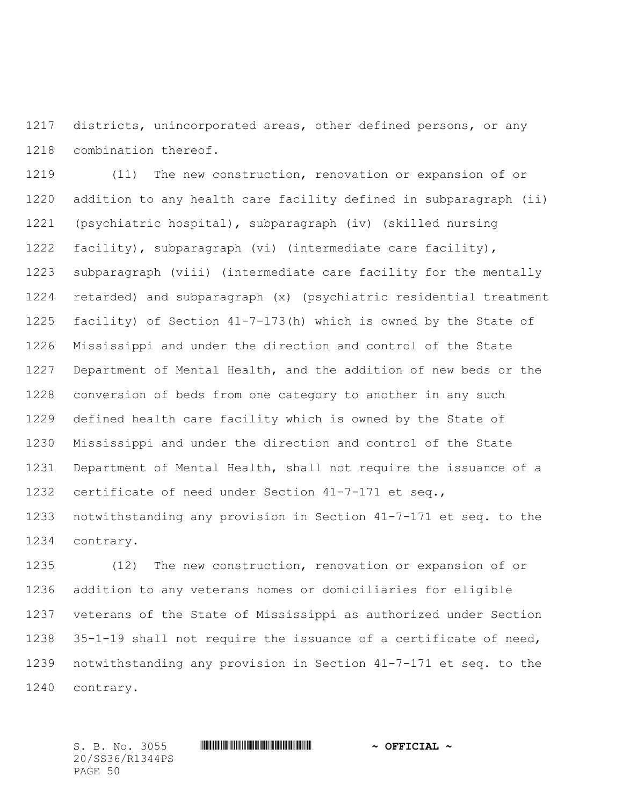districts, unincorporated areas, other defined persons, or any combination thereof.

 (11) The new construction, renovation or expansion of or addition to any health care facility defined in subparagraph (ii) (psychiatric hospital), subparagraph (iv) (skilled nursing facility), subparagraph (vi) (intermediate care facility), subparagraph (viii) (intermediate care facility for the mentally retarded) and subparagraph (x) (psychiatric residential treatment facility) of Section 41-7-173(h) which is owned by the State of Mississippi and under the direction and control of the State Department of Mental Health, and the addition of new beds or the conversion of beds from one category to another in any such defined health care facility which is owned by the State of Mississippi and under the direction and control of the State Department of Mental Health, shall not require the issuance of a certificate of need under Section 41-7-171 et seq., notwithstanding any provision in Section 41-7-171 et seq. to the contrary.

 (12) The new construction, renovation or expansion of or addition to any veterans homes or domiciliaries for eligible veterans of the State of Mississippi as authorized under Section 35-1-19 shall not require the issuance of a certificate of need, notwithstanding any provision in Section 41-7-171 et seq. to the contrary.

20/SS36/R1344PS PAGE 50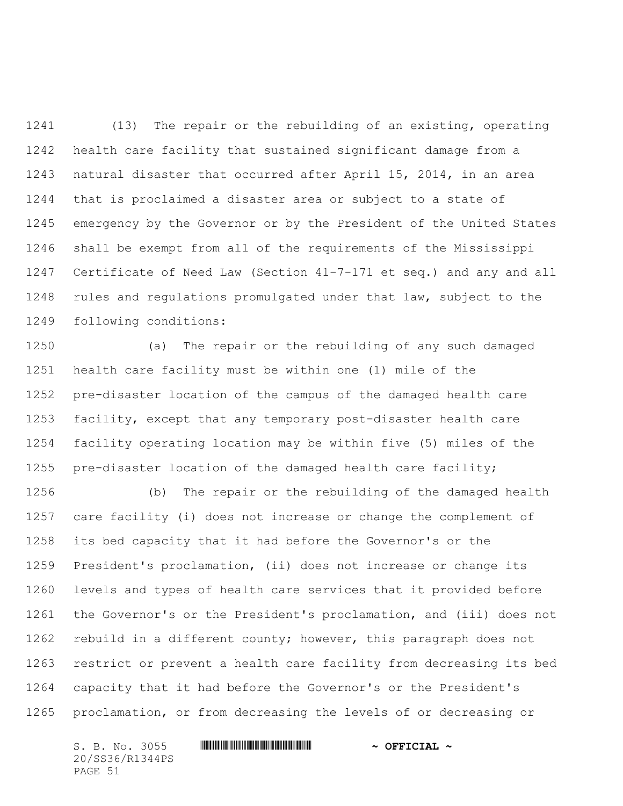(13) The repair or the rebuilding of an existing, operating health care facility that sustained significant damage from a natural disaster that occurred after April 15, 2014, in an area that is proclaimed a disaster area or subject to a state of emergency by the Governor or by the President of the United States shall be exempt from all of the requirements of the Mississippi Certificate of Need Law (Section 41-7-171 et seq.) and any and all rules and regulations promulgated under that law, subject to the following conditions:

 (a) The repair or the rebuilding of any such damaged health care facility must be within one (1) mile of the pre-disaster location of the campus of the damaged health care facility, except that any temporary post-disaster health care facility operating location may be within five (5) miles of the pre-disaster location of the damaged health care facility;

 (b) The repair or the rebuilding of the damaged health care facility (i) does not increase or change the complement of its bed capacity that it had before the Governor's or the President's proclamation, (ii) does not increase or change its levels and types of health care services that it provided before the Governor's or the President's proclamation, and (iii) does not 1262 rebuild in a different county; however, this paragraph does not restrict or prevent a health care facility from decreasing its bed capacity that it had before the Governor's or the President's proclamation, or from decreasing the levels of or decreasing or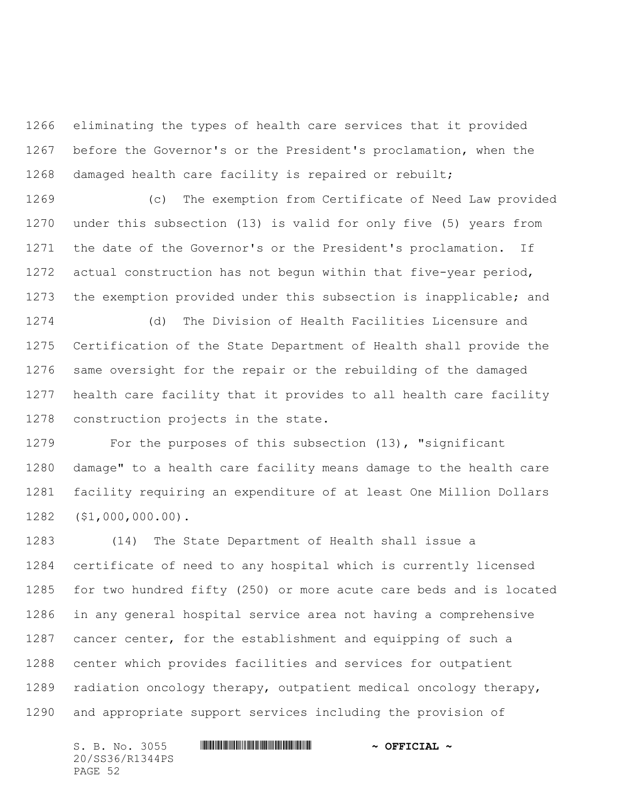eliminating the types of health care services that it provided before the Governor's or the President's proclamation, when the damaged health care facility is repaired or rebuilt;

 (c) The exemption from Certificate of Need Law provided under this subsection (13) is valid for only five (5) years from the date of the Governor's or the President's proclamation. If actual construction has not begun within that five-year period, the exemption provided under this subsection is inapplicable; and

 (d) The Division of Health Facilities Licensure and Certification of the State Department of Health shall provide the same oversight for the repair or the rebuilding of the damaged health care facility that it provides to all health care facility construction projects in the state.

 For the purposes of this subsection (13), "significant damage" to a health care facility means damage to the health care facility requiring an expenditure of at least One Million Dollars (\$1,000,000.00).

 (14) The State Department of Health shall issue a certificate of need to any hospital which is currently licensed for two hundred fifty (250) or more acute care beds and is located in any general hospital service area not having a comprehensive cancer center, for the establishment and equipping of such a center which provides facilities and services for outpatient radiation oncology therapy, outpatient medical oncology therapy, and appropriate support services including the provision of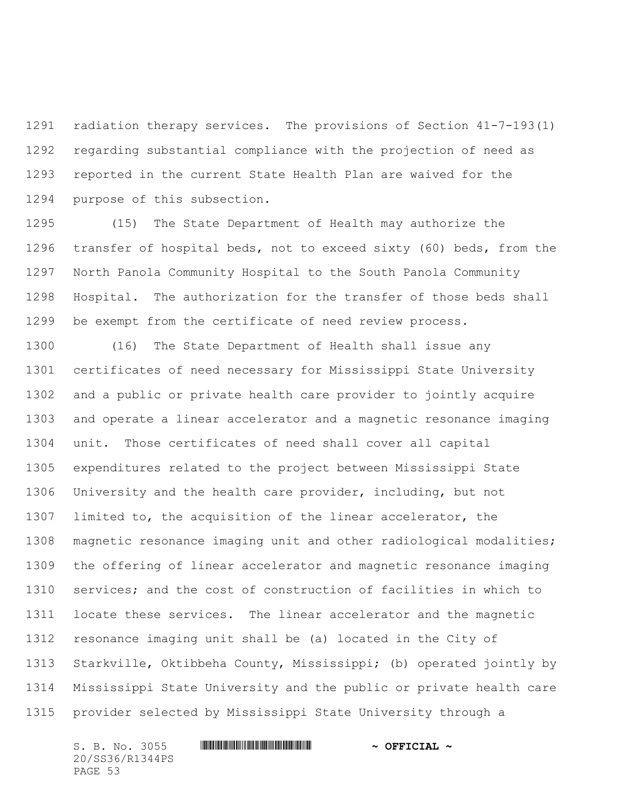radiation therapy services. The provisions of Section 41-7-193(1) regarding substantial compliance with the projection of need as reported in the current State Health Plan are waived for the purpose of this subsection.

 (15) The State Department of Health may authorize the transfer of hospital beds, not to exceed sixty (60) beds, from the North Panola Community Hospital to the South Panola Community Hospital. The authorization for the transfer of those beds shall be exempt from the certificate of need review process.

 (16) The State Department of Health shall issue any certificates of need necessary for Mississippi State University and a public or private health care provider to jointly acquire and operate a linear accelerator and a magnetic resonance imaging unit. Those certificates of need shall cover all capital expenditures related to the project between Mississippi State University and the health care provider, including, but not limited to, the acquisition of the linear accelerator, the magnetic resonance imaging unit and other radiological modalities; the offering of linear accelerator and magnetic resonance imaging services; and the cost of construction of facilities in which to locate these services. The linear accelerator and the magnetic resonance imaging unit shall be (a) located in the City of Starkville, Oktibbeha County, Mississippi; (b) operated jointly by Mississippi State University and the public or private health care provider selected by Mississippi State University through a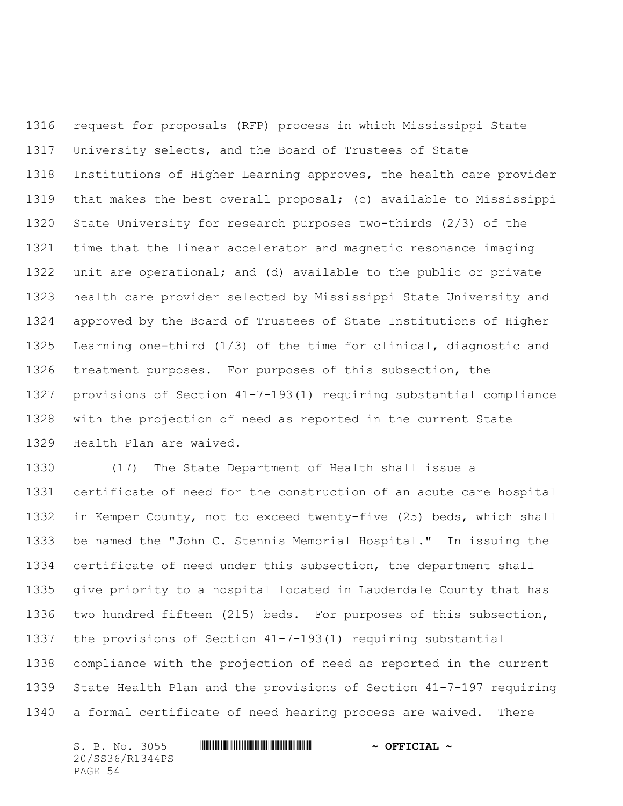request for proposals (RFP) process in which Mississippi State University selects, and the Board of Trustees of State Institutions of Higher Learning approves, the health care provider that makes the best overall proposal; (c) available to Mississippi State University for research purposes two-thirds (2/3) of the time that the linear accelerator and magnetic resonance imaging unit are operational; and (d) available to the public or private health care provider selected by Mississippi State University and approved by the Board of Trustees of State Institutions of Higher Learning one-third (1/3) of the time for clinical, diagnostic and treatment purposes. For purposes of this subsection, the provisions of Section 41-7-193(1) requiring substantial compliance with the projection of need as reported in the current State Health Plan are waived.

 (17) The State Department of Health shall issue a certificate of need for the construction of an acute care hospital in Kemper County, not to exceed twenty-five (25) beds, which shall be named the "John C. Stennis Memorial Hospital." In issuing the certificate of need under this subsection, the department shall give priority to a hospital located in Lauderdale County that has two hundred fifteen (215) beds. For purposes of this subsection, the provisions of Section 41-7-193(1) requiring substantial compliance with the projection of need as reported in the current State Health Plan and the provisions of Section 41-7-197 requiring a formal certificate of need hearing process are waived. There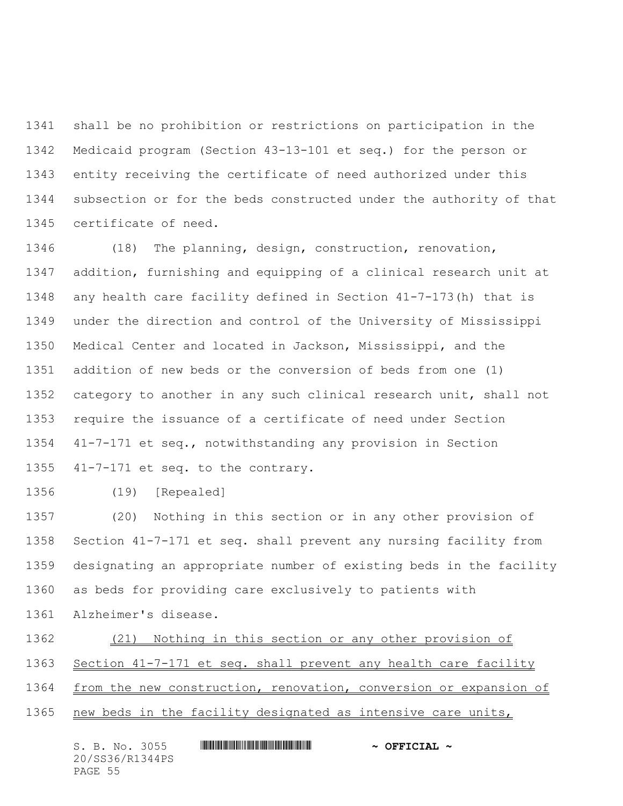shall be no prohibition or restrictions on participation in the Medicaid program (Section 43-13-101 et seq.) for the person or entity receiving the certificate of need authorized under this subsection or for the beds constructed under the authority of that certificate of need.

 (18) The planning, design, construction, renovation, addition, furnishing and equipping of a clinical research unit at any health care facility defined in Section 41-7-173(h) that is under the direction and control of the University of Mississippi Medical Center and located in Jackson, Mississippi, and the addition of new beds or the conversion of beds from one (1) category to another in any such clinical research unit, shall not require the issuance of a certificate of need under Section 41-7-171 et seq., notwithstanding any provision in Section 41-7-171 et seq. to the contrary.

(19) [Repealed]

 (20) Nothing in this section or in any other provision of Section 41-7-171 et seq. shall prevent any nursing facility from designating an appropriate number of existing beds in the facility as beds for providing care exclusively to patients with Alzheimer's disease.

- (21) Nothing in this section or any other provision of
- 1363 Section 41-7-171 et seq. shall prevent any health care facility
- 1364 from the new construction, renovation, conversion or expansion of
- new beds in the facility designated as intensive care units,